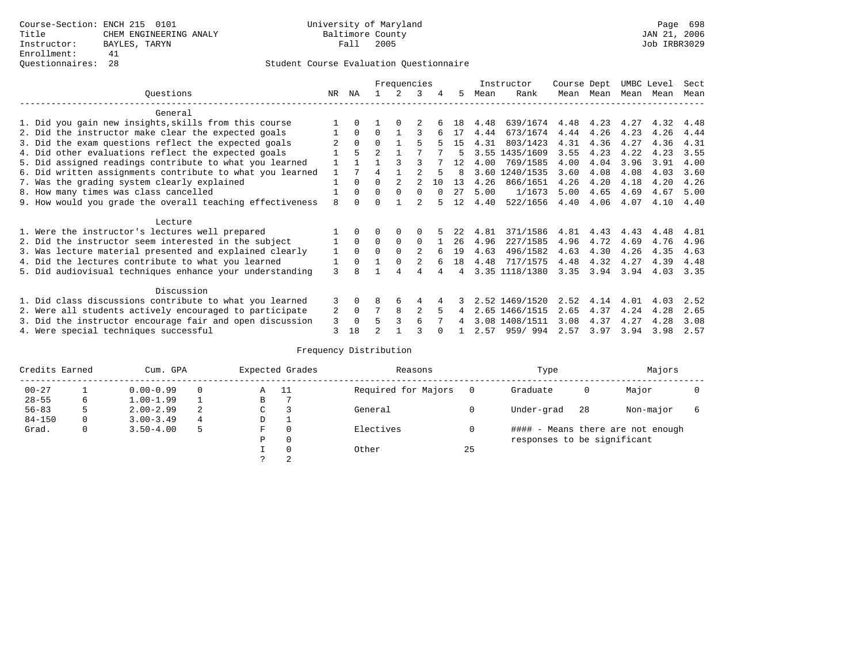# Questionnaires: 28 Student Course Evaluation Questionnaire

|                                                           |     |              |                | Frequencies |                |     |    |      | Instructor     | Course Dept |      | UMBC Level |      | Sect |
|-----------------------------------------------------------|-----|--------------|----------------|-------------|----------------|-----|----|------|----------------|-------------|------|------------|------|------|
| Ouestions                                                 | NR. | ΝA           |                |             | 3              | 4   | 5  | Mean | Rank           | Mean        | Mean | Mean       | Mean | Mean |
| General                                                   |     |              |                |             |                |     |    |      |                |             |      |            |      |      |
| 1. Did you gain new insights, skills from this course     |     |              |                |             |                |     | 18 | 4.48 | 639/1674       | 4.48        | 4.23 | 4.27       | 4.32 | 4.48 |
| 2. Did the instructor make clear the expected goals       |     | $\Omega$     | 0              |             |                |     | 17 | 4.44 | 673/1674       | 4.44        | 4.26 | 4.23       | 4.26 | 4.44 |
| 3. Did the exam questions reflect the expected goals      |     | $\Omega$     | $\Omega$       |             |                |     | 15 | 4.31 | 803/1423       | 4.31        | 4.36 | 4.27       | 4.36 | 4.31 |
| 4. Did other evaluations reflect the expected goals       |     | 5            | $\overline{a}$ |             |                |     |    |      | 3.55 1435/1609 | 3.55        | 4.23 | 4.22       | 4.23 | 3.55 |
| 5. Did assigned readings contribute to what you learned   |     |              |                | 3           |                |     | 12 | 4.00 | 769/1585       | 4.00        | 4.04 | 3.96       | 3.91 | 4.00 |
| 6. Did written assignments contribute to what you learned |     |              |                |             |                |     | 8  |      | 3.60 1240/1535 | 3.60        | 4.08 | 4.08       | 4.03 | 3.60 |
| 7. Was the grading system clearly explained               |     | 0            | U              |             |                | 1 O | 13 | 4.26 | 866/1651       | 4.26        | 4.20 | 4.18       | 4.20 | 4.26 |
| 8. How many times was class cancelled                     |     | $\Omega$     | 0              | $\Omega$    | $\Omega$       |     | 27 | 5.00 | 1/1673         | 5.00        | 4.65 | 4.69       | 4.67 | 5.00 |
| 9. How would you grade the overall teaching effectiveness | 8   | <sup>n</sup> |                |             | $\mathcal{D}$  |     | 12 | 4.40 | 522/1656       | 4.40        | 4.06 | 4.07       | 4.10 | 4.40 |
| Lecture                                                   |     |              |                |             |                |     |    |      |                |             |      |            |      |      |
| 1. Were the instructor's lectures well prepared           |     |              |                |             |                |     |    | 4.81 | 371/1586       | 4.81        | 4.43 | 4.43       | 4.48 | 4.81 |
| 2. Did the instructor seem interested in the subject      |     | $\Omega$     | 0              | $\Omega$    | $\Omega$       |     | 26 | 4.96 | 227/1585       | 4.96        | 4.72 | 4.69       | 4.76 | 4.96 |
| 3. Was lecture material presented and explained clearly   |     | $\Omega$     | $\Omega$       | $\Omega$    | $\mathfrak{D}$ |     | 19 | 4.63 | 496/1582       | 4.63        | 4.30 | 4.26       | 4.35 | 4.63 |
| 4. Did the lectures contribute to what you learned        |     | $\Omega$     |                | $\Omega$    |                |     | 18 | 4.48 | 717/1575       | 4.48        | 4.32 | 4.27       | 4.39 | 4.48 |
| 5. Did audiovisual techniques enhance your understanding  | 3   |              |                |             |                |     |    |      | 3.35 1118/1380 | 3.35        | 3.94 | 3.94       | 4.03 | 3.35 |
|                                                           |     |              |                |             |                |     |    |      |                |             |      |            |      |      |
| Discussion                                                |     |              |                |             |                |     |    |      |                |             |      |            |      |      |
| 1. Did class discussions contribute to what you learned   | 3   | 0            | 8              | 6           | 4              |     |    |      | 2.52 1469/1520 | 2.52        | 4.14 | 4.01       | 4.03 | 2.52 |
| 2. Were all students actively encouraged to participate   | 2   | $\mathbf 0$  |                | 8           | 2              |     | 4  |      | 2.65 1466/1515 | 2.65        | 4.37 | 4.24       | 4.28 | 2.65 |
| 3. Did the instructor encourage fair and open discussion  | 3   | $\Omega$     |                |             | 6              |     |    |      | 3.08 1408/1511 | 3.08        | 4.37 | 4.27       | 4.28 | 3.08 |
| 4. Were special techniques successful                     | 3   | 18           |                |             |                |     |    | 2.57 | 959/994        | 2.57        | 3.97 | 3.94       | 3.98 | 2.57 |

| Credits Earned |   | Cum. GPA      |   |             | Expected Grades | Reasons             |          | Type                        |     | Majors                            |  |
|----------------|---|---------------|---|-------------|-----------------|---------------------|----------|-----------------------------|-----|-----------------------------------|--|
| $00 - 27$      |   | $0.00 - 0.99$ |   | Α           | - 11            | Required for Majors | $\Omega$ | Graduate                    | 0   | Major                             |  |
| $28 - 55$      | 6 | $1.00 - 1.99$ |   | В           |                 |                     |          |                             |     |                                   |  |
| $56 - 83$      | 5 | $2.00 - 2.99$ | 2 | $\sim$<br>◡ |                 | General             |          | Under-grad                  | -28 | Non-major                         |  |
| $84 - 150$     | 0 | $3.00 - 3.49$ | 4 | D           | <b>.</b>        |                     |          |                             |     |                                   |  |
| Grad.          | 0 | $3.50 - 4.00$ | 5 | F           | 0               | Electives           | 0        |                             |     | #### - Means there are not enough |  |
|                |   |               |   | Ρ           | 0               |                     |          | responses to be significant |     |                                   |  |
|                |   |               |   |             | $\Omega$        | Other               | 25       |                             |     |                                   |  |
|                |   |               |   | C           | 2               |                     |          |                             |     |                                   |  |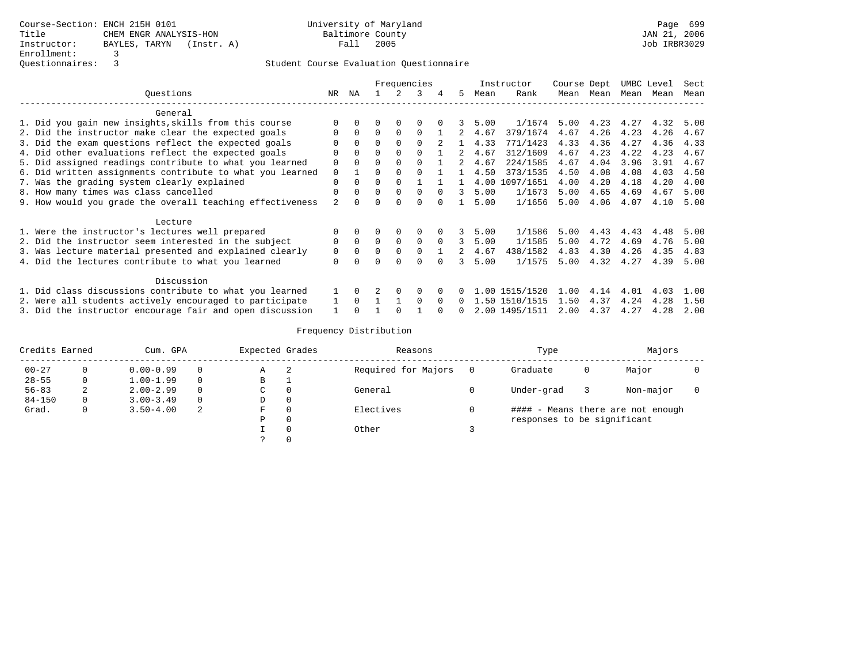|                                                           |             | Frequencies<br>ΝA<br>3<br>5.<br>4 |          |          |          |          |              | Instructor | Course Dept    |      |           | UMBC Level | Sect |      |
|-----------------------------------------------------------|-------------|-----------------------------------|----------|----------|----------|----------|--------------|------------|----------------|------|-----------|------------|------|------|
| Questions                                                 | NR          |                                   |          |          |          |          |              | Mean       | Rank           |      | Mean Mean | Mean       | Mean | Mean |
| General                                                   |             |                                   |          |          |          |          |              |            |                |      |           |            |      |      |
| 1. Did you gain new insights, skills from this course     | $\Omega$    | 0                                 | 0        | $\Omega$ |          |          | 3            | 5.00       | 1/1674         | 5.00 | 4.23      | 4.27       | 4.32 | 5.00 |
| 2. Did the instructor make clear the expected goals       | $\Omega$    | $\Omega$                          | $\Omega$ | $\Omega$ | $\cap$   |          | 2            | 4.67       | 379/1674       | 4.67 | 4.26      | 4.23       | 4.26 | 4.67 |
| 3. Did the exam questions reflect the expected goals      |             | $\Omega$                          | 0        | $\Omega$ | $\Omega$ |          |              | 4.33       | 771/1423       | 4.33 | 4.36      | 4.27       | 4.36 | 4.33 |
| 4. Did other evaluations reflect the expected goals       | $\Omega$    |                                   |          |          |          |          |              | 4.67       | 312/1609       | 4.67 | 4.23      | 4.22       | 4.23 | 4.67 |
| 5. Did assigned readings contribute to what you learned   | $\Omega$    |                                   |          |          |          |          |              | 4.67       | 224/1585       | 4.67 | 4.04      | 3.96       | 3.91 | 4.67 |
| 6. Did written assignments contribute to what you learned | $\mathbf 0$ |                                   | $\Omega$ |          |          |          |              | 4.50       | 373/1535       | 4.50 | 4.08      | 4.08       | 4.03 | 4.50 |
| 7. Was the grading system clearly explained               | $\mathbf 0$ | $\Omega$                          | 0        |          |          |          |              | 4.00       | 1097/1651      | 4.00 | 4.20      | 4.18       | 4.20 | 4.00 |
| 8. How many times was class cancelled                     | $\mathbf 0$ | $\Omega$                          | $\Omega$ | $\Omega$ | $\Omega$ | $\Omega$ | 3            | 5.00       | 1/1673         | 5.00 | 4.65      | 4.69       | 4.67 | 5.00 |
| 9. How would you grade the overall teaching effectiveness | 2           |                                   |          |          |          |          |              | 5.00       | 1/1656         | 5.00 | 4.06      | 4.07       | 4.10 | 5.00 |
| Lecture                                                   |             |                                   |          |          |          |          |              |            |                |      |           |            |      |      |
| 1. Were the instructor's lectures well prepared           | $\Omega$    | $\Omega$                          | 0        | $\Omega$ | $\Omega$ | $\Omega$ | 3            | 5.00       | 1/1586         | 5.00 | 4.43      | 4.43       | 4.48 | 5.00 |
| 2. Did the instructor seem interested in the subject      | $\Omega$    | $\Omega$                          | $\Omega$ | $\Omega$ | $\Omega$ | $\Omega$ | 3            | 5.00       | 1/1585         | 5.00 | 4.72      | 4.69       | 4.76 | 5.00 |
| 3. Was lecture material presented and explained clearly   | $\mathbf 0$ |                                   |          | $\Omega$ | $\Omega$ |          |              | 4.67       | 438/1582       | 4.83 | 4.30      | 4.26       | 4.35 | 4.83 |
| 4. Did the lectures contribute to what you learned        | $\Omega$    |                                   |          |          |          |          | 3            | 5.00       | 1/1575         | 5.00 | 4.32      | 4.27       | 4.39 | 5.00 |
| Discussion                                                |             |                                   |          |          |          |          |              |            |                |      |           |            |      |      |
| 1. Did class discussions contribute to what you learned   |             | $\Omega$                          |          | $\Omega$ | $\Omega$ |          |              | 1 ດດ       | 1515/1520      | 1.00 | 4.14      | 4.01       | 4.03 | 1.00 |
| 2. Were all students actively encouraged to participate   |             | $\Omega$                          |          |          | $\Omega$ | $\Omega$ |              |            | 1.50 1510/1515 | 1.50 | 4.37      | 4.24       | 4.28 | 1.50 |
| 3. Did the instructor encourage fair and open discussion  |             |                                   |          |          |          |          | <sup>n</sup> |            | 2.00 1495/1511 | 2.00 | 4.37      | 4.27       | 4.28 | 2.00 |

| Credits Earned |                          | Cum. GPA      |   | Expected Grades |          | Reasons             |          | Type                        |   | Majors                            |  |
|----------------|--------------------------|---------------|---|-----------------|----------|---------------------|----------|-----------------------------|---|-----------------------------------|--|
| $00 - 27$      |                          | $0.00 - 0.99$ |   | Α               | 2        | Required for Majors | $\Omega$ | Graduate                    | 0 | Major                             |  |
| $28 - 55$      |                          | $1.00 - 1.99$ |   | В               |          |                     |          |                             |   |                                   |  |
| $56 - 83$      | $\overline{\phantom{a}}$ | $2.00 - 2.99$ |   | C               | 0        | General             |          | Under-grad                  |   | Non-major                         |  |
| $84 - 150$     | 0                        | $3.00 - 3.49$ |   | D               | 0        |                     |          |                             |   |                                   |  |
| Grad.          | 0                        | $3.50 - 4.00$ | 2 | F               | $\Omega$ | Electives           |          |                             |   | #### - Means there are not enough |  |
|                |                          |               |   | Ρ               | 0        |                     |          | responses to be significant |   |                                   |  |
|                |                          |               |   |                 | $\Omega$ | Other               |          |                             |   |                                   |  |
|                |                          |               |   |                 |          |                     |          |                             |   |                                   |  |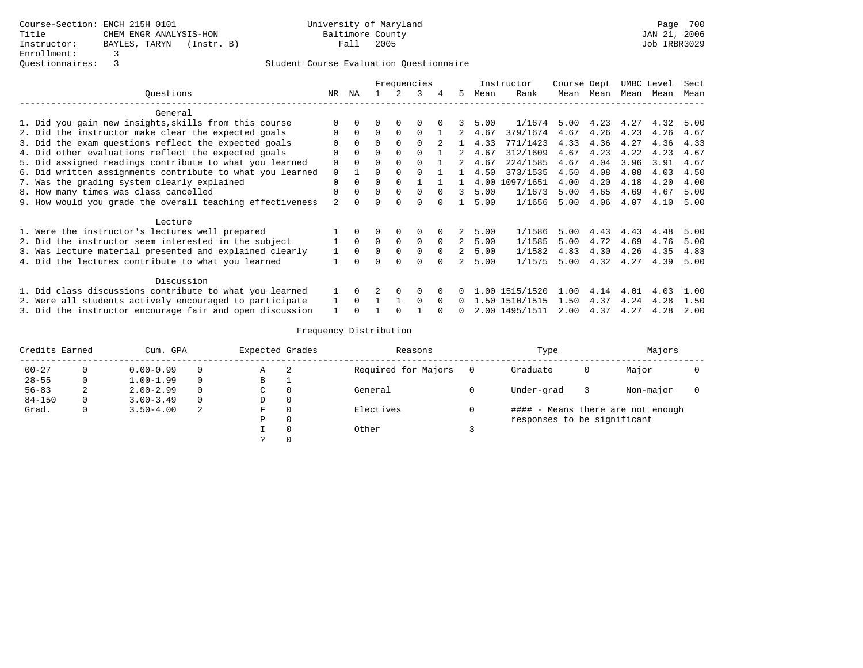|                                                           |                | Frequencies<br>ΝA<br>3<br>5.<br>4 |          |             |          |          |              |      | Instructor     | Course Dept |           |      | UMBC Level | Sect |
|-----------------------------------------------------------|----------------|-----------------------------------|----------|-------------|----------|----------|--------------|------|----------------|-------------|-----------|------|------------|------|
| Ouestions                                                 | NR             |                                   |          |             |          |          |              | Mean | Rank           |             | Mean Mean | Mean | Mean       | Mean |
| General                                                   |                |                                   |          |             |          |          |              |      |                |             |           |      |            |      |
| 1. Did you gain new insights, skills from this course     |                |                                   |          | O           |          |          | 3            | 5.00 | 1/1674         | 5.00        | 4.23      | 4.27 | 4.32       | 5.00 |
| 2. Did the instructor make clear the expected goals       | $\Omega$       | $\Omega$                          | $\Omega$ | $\Omega$    | $\Omega$ |          | 2            | 4.67 | 379/1674       | 4.67        | 4.26      | 4.23 | 4.26       | 4.67 |
| 3. Did the exam questions reflect the expected goals      |                | $\Omega$                          | 0        | $\Omega$    | $\Omega$ |          |              | 4.33 | 771/1423       | 4.33        | 4.36      | 4.27 | 4.36       | 4.33 |
| 4. Did other evaluations reflect the expected goals       | $\Omega$       | $\Omega$                          | $\Omega$ | $\Omega$    |          |          |              | 4.67 | 312/1609       | 4.67        | 4.23      | 4.22 | 4.23       | 4.67 |
| 5. Did assigned readings contribute to what you learned   | $\Omega$       |                                   |          |             |          |          |              | 4.67 | 224/1585       | 4.67        | 4.04      | 3.96 | 3.91       | 4.67 |
| 6. Did written assignments contribute to what you learned | $\Omega$       |                                   | 0        |             |          |          |              | 4.50 | 373/1535       | 4.50        | 4.08      | 4.08 | 4.03       | 4.50 |
| 7. Was the grading system clearly explained               | $\mathbf 0$    | $\Omega$                          | 0        | $\Omega$    |          |          |              | 4.00 | 1097/1651      | 4.00        | 4.20      | 4.18 | 4.20       | 4.00 |
| 8. How many times was class cancelled                     | 0              | $\Omega$                          | $\Omega$ | $\mathbf 0$ | $\Omega$ | $\Omega$ | 3            | 5.00 | 1/1673         | 5.00        | 4.65      | 4.69 | 4.67       | 5.00 |
| 9. How would you grade the overall teaching effectiveness | $\overline{a}$ |                                   |          |             |          |          |              | 5.00 | 1/1656         | 5.00        | 4.06      | 4.07 | 4.10       | 5.00 |
| Lecture                                                   |                |                                   |          |             |          |          |              |      |                |             |           |      |            |      |
| 1. Were the instructor's lectures well prepared           |                | $\Omega$                          | 0        | 0           | 0        |          | 2.           | 5.00 | 1/1586         | 5.00        | 4.43      | 4.43 | 4.48       | 5.00 |
| 2. Did the instructor seem interested in the subject      |                | $\Omega$                          | $\Omega$ | $\Omega$    | $\Omega$ | $\Omega$ | 2            | 5.00 | 1/1585         | 5.00        | 4.72      | 4.69 | 4.76       | 5.00 |
| 3. Was lecture material presented and explained clearly   |                | $\Omega$                          | 0        | $\Omega$    | $\Omega$ | $\Omega$ |              | 5.00 | 1/1582         | 4.83        | 4.30      | 4.26 | 4.35       | 4.83 |
| 4. Did the lectures contribute to what you learned        |                |                                   |          |             | $\Omega$ |          |              | 5.00 | 1/1575         | 5.00        | 4.32      | 4.27 | 4.39       | 5.00 |
| Discussion                                                |                |                                   |          |             |          |          |              |      |                |             |           |      |            |      |
| 1. Did class discussions contribute to what you learned   |                | $\Omega$                          |          | $\Omega$    | $\Omega$ |          |              | _ ററ | 1515/1520      | 1.00        | 4.14      | 4.01 | 4.03       | 1.00 |
| 2. Were all students actively encouraged to participate   |                | $\Omega$                          |          |             | $\Omega$ | $\Omega$ |              |      | 1.50 1510/1515 | 1.50        | 4.37      | 4.24 | 4.28       | 1.50 |
| 3. Did the instructor encourage fair and open discussion  |                |                                   |          |             |          |          | <sup>n</sup> |      | 2.00 1495/1511 | 2.00        | 4.37      | 4.27 | 4.28       | 2.00 |

| Credits Earned |          | Cum. GPA      |          | Expected Grades |          | Reasons             | Type                        |   | Majors                            |  |
|----------------|----------|---------------|----------|-----------------|----------|---------------------|-----------------------------|---|-----------------------------------|--|
| $00 - 27$      |          | $0.00 - 0.99$ | $\Omega$ | Α               | 2        | Required for Majors | Graduate                    | 0 | Major                             |  |
| $28 - 55$      | $\Omega$ | $1.00 - 1.99$ | $\Omega$ | В               | <b>.</b> |                     |                             |   |                                   |  |
| $56 - 83$      |          | $2.00 - 2.99$ | $\Omega$ | C               | 0        | General             | Under-grad                  |   | Non-major                         |  |
| $84 - 150$     | $\Omega$ | $3.00 - 3.49$ | $\Omega$ | D               | 0        |                     |                             |   |                                   |  |
| Grad.          | 0        | $3.50 - 4.00$ | -2       | F               | 0        | Electives           |                             |   | #### - Means there are not enough |  |
|                |          |               |          | Ρ               | 0        |                     | responses to be significant |   |                                   |  |
|                |          |               |          |                 | $\Omega$ | Other               |                             |   |                                   |  |
|                |          |               |          |                 | $\Omega$ |                     |                             |   |                                   |  |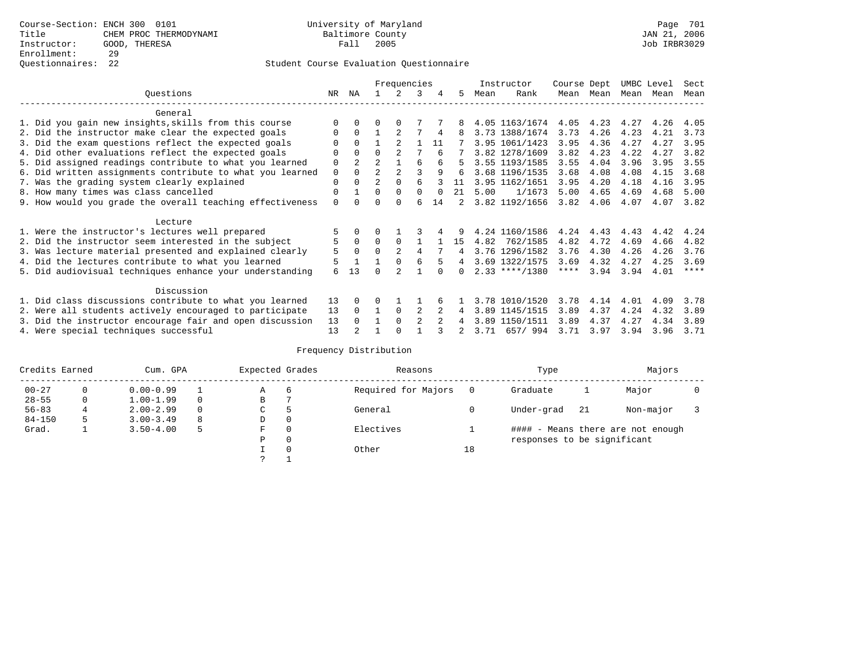|                                                           |             | Frequencies    |                |                |                |        |                |      | Instructor       | Course Dept |      | UMBC Level |      | Sect    |
|-----------------------------------------------------------|-------------|----------------|----------------|----------------|----------------|--------|----------------|------|------------------|-------------|------|------------|------|---------|
| Ouestions                                                 | NR.         | ΝA             |                |                | 3              | 4      | 5.             | Mean | Rank             | Mean        | Mean | Mean       | Mean | Mean    |
| General                                                   |             |                |                |                |                |        |                |      |                  |             |      |            |      |         |
| 1. Did you gain new insights, skills from this course     |             | $\Omega$       | O              | $\Omega$       |                |        |                |      | 4.05 1163/1674   | 4.05        | 4.23 | 4.27       | 4.26 | 4.05    |
| 2. Did the instructor make clear the expected goals       | 0           | $\Omega$       |                |                |                | 4      | 8              |      | 3.73 1388/1674   | 3.73        | 4.26 | 4.23       | 4.21 | 3.73    |
| 3. Did the exam questions reflect the expected goals      |             | $\Omega$       |                |                |                | 11     |                |      | 3.95 1061/1423   | 3.95        | 4.36 | 4.27       | 4.27 | 3.95    |
| 4. Did other evaluations reflect the expected goals       | O           | $\Omega$       | $\Omega$       |                |                |        |                |      | 3.82 1278/1609   | 3.82        | 4.23 | 4.22       | 4.27 | 3.82    |
| 5. Did assigned readings contribute to what you learned   | $\mathbf 0$ | $\mathfrak{D}$ | $\mathfrak{D}$ |                | б              |        |                |      | 3.55 1193/1585   | 3.55        | 4.04 | 3.96       | 3.95 | 3.55    |
| 6. Did written assignments contribute to what you learned | $\mathbf 0$ | $\Omega$       | $\mathfrak{D}$ | $\mathfrak{D}$ |                | 9      | 6              |      | 3.68 1196/1535   | 3.68        | 4.08 | 4.08       | 4.15 | 3.68    |
| 7. Was the grading system clearly explained               | $\Omega$    | $\Omega$       | $\overline{a}$ | $\Omega$       | 6              |        | 11             |      | 3.95 1162/1651   | 3.95        | 4.20 | 4.18       | 4.16 | 3.95    |
| 8. How many times was class cancelled                     | $\Omega$    |                | $\Omega$       | $\Omega$       | $\Omega$       | $\cap$ | 21             | 5.00 | 1/1673           | 5.00        | 4.65 | 4.69       | 4.68 | 5.00    |
| 9. How would you grade the overall teaching effectiveness | $\Omega$    | <sup>n</sup>   | U              | $\cap$         | б              | 14     | $\mathcal{L}$  |      | 3.82 1192/1656   | 3.82        | 4.06 | 4.07       | 4.07 | 3.82    |
|                                                           |             |                |                |                |                |        |                |      |                  |             |      |            |      |         |
| Lecture                                                   |             |                |                |                |                |        |                |      |                  |             |      |            |      |         |
| 1. Were the instructor's lectures well prepared           |             |                |                |                |                |        |                |      | 4.24 1160/1586   | 4.24        | 4.43 | 4.43       | 4.42 | 4.24    |
| 2. Did the instructor seem interested in the subject      | 5           | $\Omega$       | $\Omega$       | $\Omega$       |                |        | 15             | 4.82 | 762/1585         | 4.82        | 4.72 | 4.69       | 4.66 | 4.82    |
| 3. Was lecture material presented and explained clearly   | 5           | $\Omega$       | $\Omega$       |                | 4              |        | 4              |      | 3.76 1296/1582   | 3.76        | 4.30 | 4.26       | 4.26 | 3.76    |
| 4. Did the lectures contribute to what you learned        |             |                |                |                |                |        | $\overline{4}$ |      | 3.69 1322/1575   | 3.69        | 4.32 | 4.27       | 4.25 | 3.69    |
| 5. Did audiovisual techniques enhance your understanding  | 6           | 13             |                |                |                |        |                |      | $2.33$ ****/1380 | $***$ * * * | 3.94 | 3.94       | 4.01 | $***$ * |
|                                                           |             |                |                |                |                |        |                |      |                  |             |      |            |      |         |
| Discussion                                                |             |                |                |                |                |        |                |      |                  |             |      |            |      |         |
| 1. Did class discussions contribute to what you learned   | 13          | $\Omega$       | U              |                |                |        |                |      | 3.78 1010/1520   | 3.78        | 4.14 | 4.01       | 4.09 | 3.78    |
| 2. Were all students actively encouraged to participate   | 13          | $\Omega$       |                | $\Omega$       |                |        | 4              | 3.89 | 1145/1515        | 3.89        | 4.37 | 4.24       | 4.32 | 3.89    |
| 3. Did the instructor encourage fair and open discussion  | 13          | $\Omega$       |                | $\Omega$       | $\mathfrak{D}$ |        |                | 3.89 | 1150/1511        | 3.89        | 4.37 | 4.27       | 4.34 | 3.89    |
| 4. Were special techniques successful                     | 13          |                |                |                |                |        |                | 3.71 | 657/994          | 3.71        | 3.97 | 3.94       | 3.96 | 3.71    |

| Credits Earned |   | Cum. GPA      |   | Expected Grades |          | Reasons             |    | Type                        |     | Majors                            |  |
|----------------|---|---------------|---|-----------------|----------|---------------------|----|-----------------------------|-----|-----------------------------------|--|
| $00 - 27$      | 0 | $0.00 - 0.99$ |   | Α               | 6        | Required for Majors |    | Graduate                    |     | Major                             |  |
| $28 - 55$      | 0 | $1.00 - 1.99$ |   | B               |          |                     |    |                             |     |                                   |  |
| $56 - 83$      |   | $2.00 - 2.99$ |   | C               | 5        | General             |    | Under-grad                  | -21 | Non-major                         |  |
| $84 - 150$     | 5 | $3.00 - 3.49$ | 8 | D               | 0        |                     |    |                             |     |                                   |  |
| Grad.          |   | $3.50 - 4.00$ | 5 | F               | 0        | Electives           |    |                             |     | #### - Means there are not enough |  |
|                |   |               |   | Ρ               | 0        |                     |    | responses to be significant |     |                                   |  |
|                |   |               |   |                 | $\Omega$ | Other               | 18 |                             |     |                                   |  |
|                |   |               |   | っ               |          |                     |    |                             |     |                                   |  |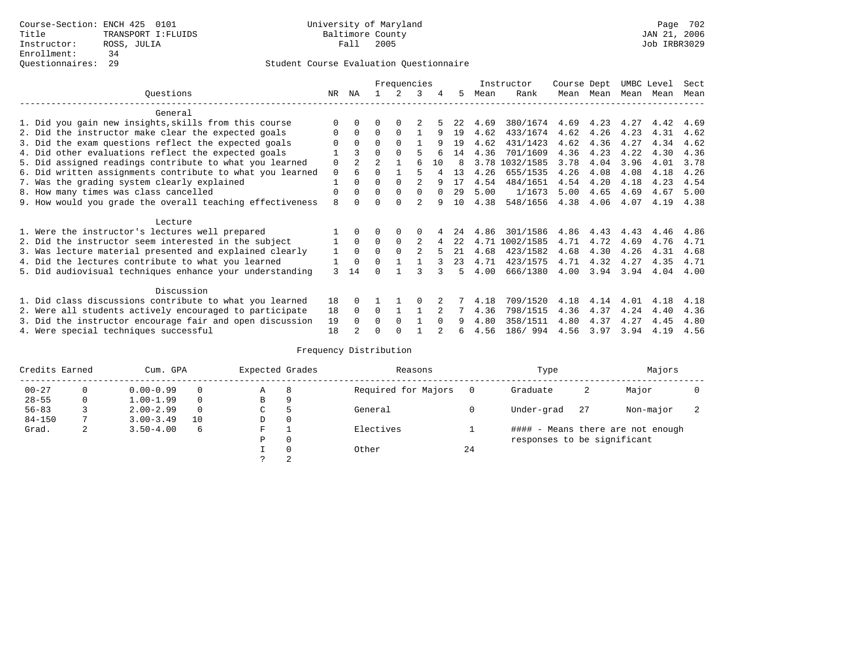|                                                           |             |                |                | Frequencies |                |          |              |      | Instructor | Course Dept |           | UMBC Level |      | Sect |
|-----------------------------------------------------------|-------------|----------------|----------------|-------------|----------------|----------|--------------|------|------------|-------------|-----------|------------|------|------|
| Ouestions                                                 | NR.         | ΝA             |                |             | 3              | 4        | 5.           | Mean | Rank       |             | Mean Mean | Mean       | Mean | Mean |
| General                                                   |             |                |                |             |                |          |              |      |            |             |           |            |      |      |
| 1. Did you gain new insights, skills from this course     |             | $\Omega$       | O              | $\Omega$    |                |          |              | 4.69 | 380/1674   | 4.69        | 4.23      | 4.27       | 4.42 | 4.69 |
| 2. Did the instructor make clear the expected goals       | O           | $\Omega$       | $\Omega$       | $\Omega$    |                | 9        | 19           | 4.62 | 433/1674   | 4.62        | 4.26      | 4.23       | 4.31 | 4.62 |
| 3. Did the exam questions reflect the expected goals      |             | $\Omega$       | $\Omega$       | $\Omega$    |                | 9        | 19           | 4.62 | 431/1423   | 4.62        | 4.36      | 4.27       | 4.34 | 4.62 |
| 4. Did other evaluations reflect the expected goals       |             |                | $\Omega$       | $\Omega$    |                |          | 14           | 4.36 | 701/1609   | 4.36        | 4.23      | 4.22       | 4.30 | 4.36 |
| 5. Did assigned readings contribute to what you learned   | $\mathbf 0$ | $\mathfrak{D}$ | $\mathfrak{D}$ |             |                | 10       | <sup>8</sup> | 3.78 | 1032/1585  | 3.78        | 4.04      | 3.96       | 4.01 | 3.78 |
| 6. Did written assignments contribute to what you learned | $\Omega$    | 6              | $\Omega$       |             |                |          | 13           | 4.26 | 655/1535   | 4.26        | 4.08      | 4.08       | 4.18 | 4.26 |
| 7. Was the grading system clearly explained               |             | $\Omega$       | $\Omega$       | $\Omega$    |                | q        | 17           | 4.54 | 484/1651   | 4.54        | 4.20      | 4.18       | 4.23 | 4.54 |
| 8. How many times was class cancelled                     | 0           | $\Omega$       | $\Omega$       | $\Omega$    | $\Omega$       |          | 29           | 5.00 | 1/1673     | 5.00        | 4.65      | 4.69       | 4.67 | 5.00 |
| 9. How would you grade the overall teaching effectiveness | 8           | <sup>n</sup>   | U              | ∩           | $\mathfrak{D}$ | q        | 10           | 4.38 | 548/1656   | 4.38        | 4.06      | 4.07       | 4.19 | 4.38 |
| Lecture                                                   |             |                |                |             |                |          |              |      |            |             |           |            |      |      |
| 1. Were the instructor's lectures well prepared           |             |                |                | $\Omega$    | $\Omega$       |          | 24           | 4.86 | 301/1586   | 4.86        | 4.43      | 4.43       | 4.46 | 4.86 |
| 2. Did the instructor seem interested in the subject      |             | $\Omega$       | $\Omega$       | $\Omega$    | $\overline{c}$ |          | 2.2.         | 4.71 | 1002/1585  | 4.71        | 4.72      | 4.69       | 4.76 | 4.71 |
| 3. Was lecture material presented and explained clearly   | 1           | $\Omega$       | $\Omega$       | $\Omega$    | $\mathfrak{D}$ |          | 21           | 4.68 | 423/1582   | 4.68        | 4.30      | 4.26       | 4.31 | 4.68 |
| 4. Did the lectures contribute to what you learned        |             | $\Omega$       | $\Omega$       |             |                |          | 23           | 4.71 | 423/1575   | 4.71        | 4.32      | 4.27       | 4.35 | 4.71 |
| 5. Did audiovisual techniques enhance your understanding  | 3           | 14             |                |             |                |          | 5            | 4.00 | 666/1380   | 4.00        | 3.94      | 3.94       | 4.04 | 4.00 |
| Discussion                                                |             |                |                |             |                |          |              |      |            |             |           |            |      |      |
| 1. Did class discussions contribute to what you learned   | 18          | $\Omega$       |                |             |                |          |              | 4.18 | 709/1520   | 4.18        | 4.14      | 4.01       | 4.18 | 4.18 |
| 2. Were all students actively encouraged to participate   | 18          | $\Omega$       | $\Omega$       |             |                |          |              | 4.36 | 798/1515   | 4.36        | 4.37      | 4.24       | 4.40 | 4.36 |
| 3. Did the instructor encourage fair and open discussion  | 19          | $\Omega$       | 0              | $\Omega$    |                | $\Omega$ |              | 4.80 | 358/1511   | 4.80        | 4.37      | 4.27       | 4.45 | 4.80 |
| 4. Were special techniques successful                     | 18          |                |                |             |                |          | 6            | 4.56 | 186/ 994   | 4.56        | 3.97      | 3.94       | 4.19 | 4.56 |

| Credits Earned |   | Cum. GPA      |    | Expected Grades |          | Reasons             |    | Type                        |    | Majors                            |  |
|----------------|---|---------------|----|-----------------|----------|---------------------|----|-----------------------------|----|-----------------------------------|--|
| $00 - 27$      | 0 | $0.00 - 0.99$ |    | Α               | 8        | Required for Majors |    | Graduate                    | 2  | Major                             |  |
| $28 - 55$      | 0 | $1.00 - 1.99$ |    | B               | 9        |                     |    |                             |    |                                   |  |
| $56 - 83$      |   | $2.00 - 2.99$ |    | C               | 5        | General             |    | Under-grad                  | 27 | Non-major                         |  |
| $84 - 150$     |   | $3.00 - 3.49$ | 10 | D               | 0        |                     |    |                             |    |                                   |  |
| Grad.          | 2 | $3.50 - 4.00$ | 6  | F               |          | Electives           |    |                             |    | #### - Means there are not enough |  |
|                |   |               |    | Ρ               | 0        |                     |    | responses to be significant |    |                                   |  |
|                |   |               |    |                 | $\Omega$ | Other               | 24 |                             |    |                                   |  |
|                |   |               |    |                 | 2        |                     |    |                             |    |                                   |  |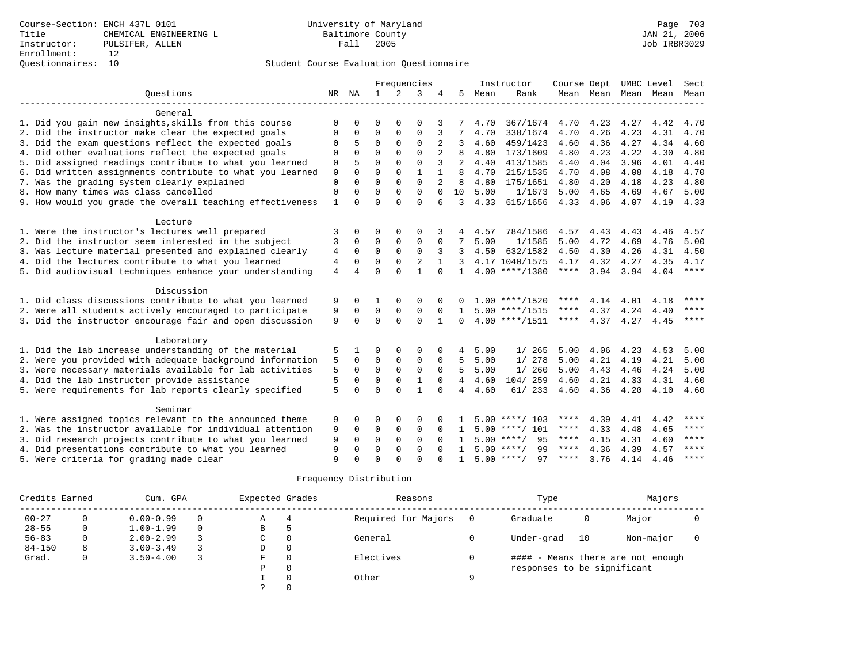# Questionnaires: 10 Student Course Evaluation Questionnaire

|                                                                    |              |                      |                      |                   | Frequencies          |             |                |              | Instructor         | Course Dept  |              | UMBC Level   |              | Sect         |
|--------------------------------------------------------------------|--------------|----------------------|----------------------|-------------------|----------------------|-------------|----------------|--------------|--------------------|--------------|--------------|--------------|--------------|--------------|
| Ouestions                                                          | NR           | NA                   | $\mathbf{1}$         | 2                 | 3                    |             | 5              | Mean         | Rank               | Mean Mean    |              | Mean         | Mean         | Mean         |
|                                                                    |              |                      |                      |                   |                      |             |                |              |                    |              |              |              |              |              |
| General                                                            |              |                      |                      |                   |                      |             |                |              |                    |              |              |              |              |              |
| 1. Did you gain new insights, skills from this course              | ∩            | $\Omega$             | $\Omega$             | $\Omega$          | $\Omega$             |             |                | 4.70         | 367/1674           | 4.70         | 4.23         | 4.27         | 4.42         | 4.70         |
| 2. Did the instructor make clear the expected goals                | $\Omega$     | $\Omega$             | $\mathbf 0$          | $\mathbf{0}$      | 0                    | 3           | 7              | 4.70         | 338/1674           | 4.70         | 4.26         | 4.23         | 4.31         | 4.70         |
| 3. Did the exam questions reflect the expected goals               | 0            | 5                    | $\mathbf 0$          | $\mathbf 0$       | $\mathbf 0$          | 2           | 3              | 4.60         | 459/1423           | 4.60         | 4.36         | 4.27         | 4.34         | 4.60         |
| 4. Did other evaluations reflect the expected goals                | $\Omega$     | $\Omega$             | $\Omega$             | $\Omega$          | $\Omega$             |             | 8              | 4.80         | 173/1609           | 4.80         | 4.23         | 4.22         | 4.30         | 4.80         |
| 5. Did assigned readings contribute to what you learned            | $\mathbf 0$  | 5                    | $\Omega$             | $\Omega$          | $\Omega$             | 3           | $\overline{2}$ | 4.40         | 413/1585           | 4.40         | 4.04         | 3.96         | 4.01         | 4.40         |
| 6. Did written assignments contribute to what you learned          | $\mathbf 0$  | $\Omega$             | $\Omega$             | $\Omega$          | $\mathbf{1}$         |             | 8              | 4.70         | 215/1535           | 4.70         | 4.08         | 4.08         | 4.18         | 4.70         |
| 7. Was the grading system clearly explained                        | $\Omega$     | $\Omega$             | $\Omega$             | $\Omega$          | $\Omega$             | 2           | 8              | 4.80         | 175/1651           | 4.80         | 4.20         | 4.18         | 4.23         | 4.80         |
| 8. How many times was class cancelled                              | $\Omega$     | $\Omega$             | $\Omega$             | $\Omega$          | $\Omega$             | $\Omega$    | 10             | 5.00         | 1/1673             | 5.00         | 4.65         | 4.69         | 4.67         | 5.00         |
| 9. How would you grade the overall teaching effectiveness          | $\mathbf{1}$ | $\Omega$             | $\Omega$             | $\Omega$          | $\Omega$             | 6           | 3              | 4.33         | 615/1656           | 4.33         | 4.06         | 4.07         | 4.19         | 4.33         |
|                                                                    |              |                      |                      |                   |                      |             |                |              |                    |              |              |              |              |              |
| Lecture                                                            |              |                      |                      |                   |                      |             |                |              |                    |              |              |              |              |              |
| 1. Were the instructor's lectures well prepared                    | 3            | $\Omega$<br>$\Omega$ | $\Omega$<br>$\Omega$ | $\Omega$          | $\Omega$<br>$\Omega$ | 3           | 7              | 4.57<br>5.00 | 784/1586<br>1/1585 | 4.57<br>5.00 | 4.43<br>4.72 | 4.43         | 4.46<br>4.76 | 4.57         |
| 2. Did the instructor seem interested in the subject               | 3            | $\mathbf 0$          | $\mathbf 0$          | 0<br>$\mathbf{0}$ | $\mathbf 0$          | $\Omega$    |                |              | 632/1582           | 4.50         | 4.30         | 4.69<br>4.26 | 4.31         | 5.00<br>4.50 |
| 3. Was lecture material presented and explained clearly            | 4            | $\Omega$             | $\Omega$             | $\mathbf 0$       | $\overline{2}$       | 3           | 3              | 4.50         | 4.17 1040/1575     | 4.17         | 4.32         | 4.27         | 4.35         | 4.17         |
| 4. Did the lectures contribute to what you learned                 | 4            |                      |                      | $\Omega$          | $\mathbf{1}$         |             | 3              |              |                    | $***$ * * *  |              |              |              | ****         |
| 5. Did audiovisual techniques enhance your understanding           | 4            | 4                    | $\Omega$             |                   |                      | $\Omega$    |                |              | $4.00$ ****/1380   |              | 3.94         | 3.94         | 4.04         |              |
| Discussion                                                         |              |                      |                      |                   |                      |             |                |              |                    |              |              |              |              |              |
| 1. Did class discussions contribute to what you learned            | 9            | $\Omega$             |                      | $\Omega$          | 0                    |             |                |              | $1.00$ ****/1520   | ****         | 4.14         | 4.01         | 4.18         | ****         |
| 2. Were all students actively encouraged to participate            | 9            | $\mathbf 0$          | $\mathbf 0$          | $\mathbf 0$       | $\Omega$             | $\Omega$    | $\mathbf{1}$   |              | $5.00$ ****/1515   | ****         | 4.37         | 4.24         | 4.40         | ****         |
| 3. Did the instructor encourage fair and open discussion           | 9            | $\Omega$             | $\Omega$             | $\Omega$          | $\Omega$             |             | $\Omega$       |              | $4.00$ ****/1511   | ****         | 4.37         | 4.27         | 4.45         | $***$ * * *  |
|                                                                    |              |                      |                      |                   |                      |             |                |              |                    |              |              |              |              |              |
| Laboratory                                                         |              |                      |                      |                   |                      |             |                |              |                    |              |              |              |              |              |
| 1. Did the lab increase understanding of the material              | 5            |                      | $\Omega$             | $\Omega$          | $\Omega$             | $\Omega$    | 4              | 5.00         | 1/265              | 5.00         | 4.06         | 4.23         | 4.53         | 5.00         |
| 2. Were you provided with adequate background information          | 5            | $\Omega$             | $\mathbf 0$          | $\mathbf{0}$      | $\mathbf 0$          | $\mathbf 0$ | .5             | 5.00         | 1/278              | 5.00         | 4.21         | 4.19         | 4.21         | 5.00         |
| 3. Were necessary materials available for lab activities           | 5            | $\Omega$             | $\mathbf 0$          | $\mathbf 0$       | $\mathbf 0$          | $\Omega$    | 5              | 5.00         | 1/260              | 5.00         | 4.43         | 4.46         | 4.24         | 5.00         |
| 4. Did the lab instructor provide assistance                       | 5            | $\Omega$             | $\mathbf 0$          | $\mathbf 0$       | $\mathbf{1}$         | $\Omega$    | 4              | 4.60         | 104/ 259           | 4.60         | 4.21         | 4.33         | 4.31         | 4.60         |
| 5. Were requirements for lab reports clearly specified             | 5            | $\Omega$             | $\Omega$             | $\Omega$          | $\mathbf{1}$         | $\Omega$    | 4              | 4.60         | 61/ 233            | 4.60         | 4.36         | 4.20         | 4.10         | 4.60         |
|                                                                    |              |                      |                      |                   |                      |             |                |              |                    |              |              |              |              |              |
| Seminar<br>1. Were assigned topics relevant to the announced theme |              |                      | $\Omega$             |                   |                      |             |                |              |                    | ****         |              |              |              | ****         |
|                                                                    | 9            | $\Omega$             |                      | 0                 | $\Omega$             |             |                |              | $5.00$ ****/ 103   | ****         | 4.39         | 4.41         | 4.42         | ****         |
| 2. Was the instructor available for individual attention           | 9            | 0                    | $\Omega$             | $\Omega$          | $\Omega$             | $\Omega$    | 1              |              | $5.00$ ****/ 101   |              | 4.33         | 4.48         | 4.65         | $***$        |
| 3. Did research projects contribute to what you learned            | 9            | $\Omega$             | $\Omega$             | $\Omega$          | $\Omega$             |             |                |              | $5.00$ ****/<br>95 | ****         | 4.15         | 4.31         | 4.60         | ****         |
| 4. Did presentations contribute to what you learned                | 9            | $\Omega$             | $\Omega$             | $\Omega$          | $\Omega$             |             | $\mathbf{1}$   |              | $5.00$ ****/<br>99 | ****         | 4.36         | 4.39         | 4.57         |              |
| 5. Were criteria for grading made clear                            | 9            | $\cap$               | $\Omega$             | $\cap$            | $\cap$               |             | $\mathbf{1}$   |              | $5.00$ ****/<br>97 | ****         | 3.76         | 4.14         | 4.46         | ****         |

| Credits Earned |   | Cum. GPA      |          | Expected Grades |          | Reasons             |     | Type                        |    | Majors                            |  |
|----------------|---|---------------|----------|-----------------|----------|---------------------|-----|-----------------------------|----|-----------------------------------|--|
| $00 - 27$      |   | $0.00 - 0.99$ | $\Omega$ | Α               |          | Required for Majors | - 0 | Graduate                    | 0  | Major                             |  |
| $28 - 55$      | 0 | $1.00 - 1.99$ | $\Omega$ | B               |          |                     |     |                             |    |                                   |  |
| $56 - 83$      |   | $2.00 - 2.99$ |          | $\mathsf{C}$    |          | General             |     | Under-grad                  | 10 | Non-major                         |  |
| $84 - 150$     | 8 | $3.00 - 3.49$ |          | D               | $\Omega$ |                     |     |                             |    |                                   |  |
| Grad.          | 0 | $3.50 - 4.00$ |          | F               |          | Electives           |     |                             |    | #### - Means there are not enough |  |
|                |   |               |          | Ρ               | $\Omega$ |                     |     | responses to be significant |    |                                   |  |
|                |   |               |          |                 |          | Other               | Q   |                             |    |                                   |  |
|                |   |               |          |                 |          |                     |     |                             |    |                                   |  |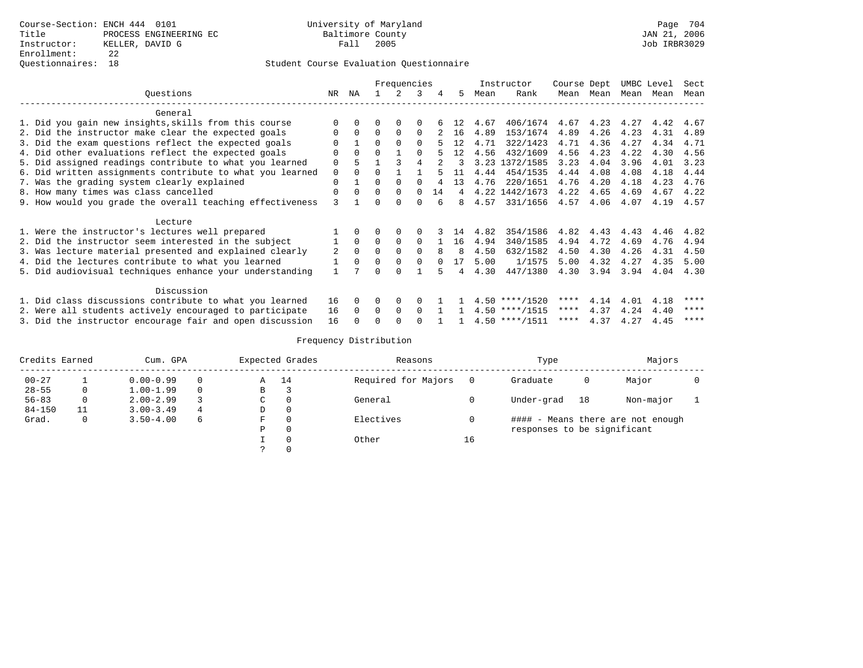|                                                           |             |          |          | Frequencies |          |        |     |      | Instructor              | Course Dept |      | UMBC Level |      | Sect |
|-----------------------------------------------------------|-------------|----------|----------|-------------|----------|--------|-----|------|-------------------------|-------------|------|------------|------|------|
| Ouestions                                                 | NR          | NA       |          | 2           | 3        |        | .5. | Mean | Rank                    | Mean        | Mean | Mean       | Mean | Mean |
| General                                                   |             |          |          |             |          |        |     |      |                         |             |      |            |      |      |
| 1. Did you gain new insights, skills from this course     | $\Omega$    | 0        | 0        |             |          |        | 12  | 4.67 | 406/1674 4.67 4.23 4.27 |             |      |            | 4.42 | 4.67 |
| 2. Did the instructor make clear the expected goals       | $\Omega$    | $\Omega$ | $\Omega$ | $\Omega$    | $\Omega$ |        | 16  | 4.89 | 153/1674                | 4.89        | 4.26 | 4.23       | 4.31 | 4.89 |
| 3. Did the exam questions reflect the expected goals      |             |          | $\Omega$ |             | $\Omega$ |        | 12  | 4.71 | 322/1423                | 4.71        | 4.36 | 4.27       | 4.34 | 4.71 |
| 4. Did other evaluations reflect the expected goals       | $\Omega$    | 0        | $\Omega$ |             |          |        | 12  | 4.56 | 432/1609                | 4.56        | 4.23 | 4.22       | 4.30 | 4.56 |
| 5. Did assigned readings contribute to what you learned   | $\Omega$    |          |          |             |          |        | ર   |      | 3.23 1372/1585          | 3.23        | 4.04 | 3.96       | 4.01 | 3.23 |
| 6. Did written assignments contribute to what you learned | $\mathbf 0$ |          | U        |             |          |        |     | 4.44 | 454/1535                | 4.44        | 4.08 | 4.08       | 4.18 | 4.44 |
| 7. Was the grading system clearly explained               | $\Omega$    |          | $\Omega$ | $\Omega$    |          |        | 13  | 4.76 | 220/1651                | 4.76        | 4.20 | 4.18       | 4.23 | 4.76 |
| 8. How many times was class cancelled                     | $\Omega$    | $\Omega$ | $\Omega$ | $\Omega$    | $\Omega$ | 14     | 4   |      | 4.22 1442/1673          | 4.22        | 4.65 | 4.69       | 4.67 | 4.22 |
| 9. How would you grade the overall teaching effectiveness | 3           |          | $\Omega$ | $\cap$      | $\cap$   | б.     | 8   |      | 4.57 331/1656           | 4.57        | 4.06 | 4.07       | 4.19 | 4.57 |
| Lecture                                                   |             |          |          |             |          |        |     |      |                         |             |      |            |      |      |
| 1. Were the instructor's lectures well prepared           |             |          | 0        | 0           | $\Omega$ |        | 14  | 4.82 | 354/1586                | 4.82        | 4.43 | 4.43       | 4.46 | 4.82 |
| 2. Did the instructor seem interested in the subject      |             | $\Omega$ | $\Omega$ | $\Omega$    | $\Omega$ |        | 16  | 4.94 | 340/1585                | 4.94        | 4.72 | 4.69       | 4.76 | 4.94 |
| 3. Was lecture material presented and explained clearly   | 2           | $\Omega$ | $\Omega$ | $\Omega$    | $\Omega$ | 8      | 8   | 4.50 | 632/1582                | 4.50        | 4.30 | 4.26       | 4.31 | 4.50 |
| 4. Did the lectures contribute to what you learned        |             | $\Omega$ | $\Omega$ | $\Omega$    | $\Omega$ | $\cap$ | 17  | 5.00 | 1/1575                  | 5.00        | 4.32 | 4.27       | 4.35 | 5.00 |
| 5. Did audiovisual techniques enhance your understanding  |             |          | U        | ∩           |          |        |     | 4.30 | 447/1380                | 4.30        | 3.94 | 3.94       | 4.04 | 4.30 |
| Discussion                                                |             |          |          |             |          |        |     |      |                         |             |      |            |      |      |
| 1. Did class discussions contribute to what you learned   | 16          | $\Omega$ | 0        | $\Omega$    | $\Omega$ |        |     |      | $4.50$ ****/1520        | ****        | 4.14 | 4.01       | 4.18 | **** |
| 2. Were all students actively encouraged to participate   | 16          | $\Omega$ | $\Omega$ | $\Omega$    | $\Omega$ |        |     |      | $4.50$ ****/1515        | ****        | 4.37 | 4.24       | 4.40 | **** |
| 3. Did the instructor encourage fair and open discussion  | 16          |          | U        |             | ∩        |        |     |      | $4.50$ ****/1511        | ****        | 4.37 | 4.27       | 4.45 | **** |

| Credits Earned |    | Cum. GPA      |   |   | Expected Grades | Reasons             |    | Type                        |    | Majors                            |  |
|----------------|----|---------------|---|---|-----------------|---------------------|----|-----------------------------|----|-----------------------------------|--|
| $00 - 27$      |    | $0.00 - 0.99$ | 0 | Α | 14              | Required for Majors |    | Graduate                    | 0  | Major                             |  |
| $28 - 55$      | 0  | $1.00 - 1.99$ | 0 | B |                 |                     |    |                             |    |                                   |  |
| $56 - 83$      | 0  | $2.00 - 2.99$ |   | C |                 | General             |    | Under-grad                  | 18 | Non-major                         |  |
| $84 - 150$     | 11 | $3.00 - 3.49$ | 4 | D |                 |                     |    |                             |    |                                   |  |
| Grad.          | 0  | $3.50 - 4.00$ | 6 | F |                 | Electives           |    |                             |    | #### - Means there are not enough |  |
|                |    |               |   | D |                 |                     |    | responses to be significant |    |                                   |  |
|                |    |               |   |   |                 | Other               | 16 |                             |    |                                   |  |
|                |    |               |   |   |                 |                     |    |                             |    |                                   |  |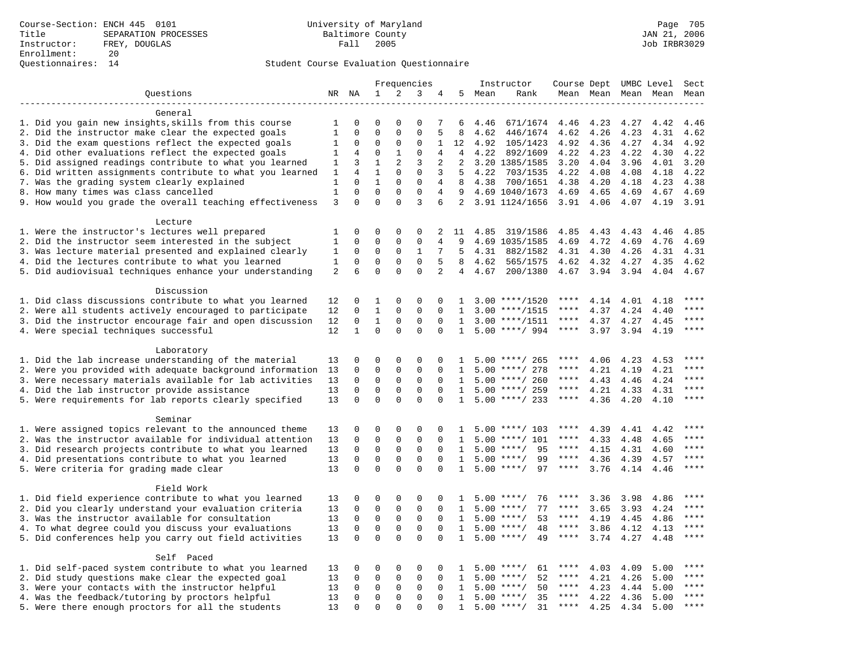|                                                           |                   |                      |                          |                          | Frequencies          |                |                |        | Instructor                         | Course Dept UMBC Level |      |                     |      | Sect                   |
|-----------------------------------------------------------|-------------------|----------------------|--------------------------|--------------------------|----------------------|----------------|----------------|--------|------------------------------------|------------------------|------|---------------------|------|------------------------|
| Questions                                                 |                   | NR NA                | 1                        | 2                        | 3                    | 4              |                | 5 Mean | Rank                               |                        |      | Mean Mean Mean Mean |      | Mean                   |
|                                                           |                   |                      |                          |                          |                      |                |                |        |                                    |                        |      |                     |      |                        |
| General                                                   |                   |                      |                          |                          |                      |                |                |        |                                    |                        |      |                     |      |                        |
| 1. Did you gain new insights, skills from this course     | 1                 | 0                    | 0                        | $\Omega$                 | $\Omega$             | 7              | 6              | 4.46   | 671/1674                           | 4.46                   | 4.23 | 4.27                | 4.42 | 4.46                   |
| 2. Did the instructor make clear the expected goals       | $\mathbf{1}$      | $\mathbf 0$          | $\mathbf 0$              | $\mathbf{0}$             | $\mathbf 0$          |                | 8              | 4.62   | 446/1674                           | 4.62                   | 4.26 | 4.23                | 4.31 | 4.62                   |
| 3. Did the exam questions reflect the expected goals      | 1                 | $\Omega$             | $\Omega$                 | $\Omega$                 | $\Omega$             | $\mathbf{1}$   | 12             | 4.92   | 105/1423                           | 4.92                   | 4.36 | 4.27                | 4.34 | 4.92                   |
| 4. Did other evaluations reflect the expected goals       | 1                 | 4                    | $\Omega$                 | $\mathbf{1}$             | $\Omega$             | 4              | $\overline{4}$ | 4.22   | 892/1609                           | 4.22                   | 4.23 | 4.22                | 4.30 | 4.22                   |
| 5. Did assigned readings contribute to what you learned   | $\mathbf{1}$      | 3                    | $\mathbf{1}$             | 2                        | 3                    | 2              | 2              |        | 3.20 1385/1585                     | 3.20                   | 4.04 | 3.96                | 4.01 | 3.20                   |
| 6. Did written assignments contribute to what you learned | 1                 | 4                    | $\mathbf{1}$             | $\mathbf 0$              | $\mathbf{0}$         | 3              | 5              | 4.22   | 703/1535                           | 4.22                   | 4.08 | 4.08                | 4.18 | 4.22                   |
| 7. Was the grading system clearly explained               | 1                 | $\Omega$<br>$\Omega$ | $\mathbf{1}$<br>$\Omega$ | $\Omega$                 | $\Omega$<br>$\Omega$ | 4              | 8              | 4.38   | 700/1651                           | 4.38                   | 4.20 | 4.18                | 4.23 | 4.38                   |
| 8. How many times was class cancelled                     | $\mathbf{1}$<br>3 | $\Omega$             | $\Omega$                 | $\mathbf{0}$<br>$\Omega$ | 3                    | 4<br>6         | 9              |        | 4.69 1040/1673<br>2 3.91 1124/1656 | 4.69                   | 4.65 | 4.69                | 4.67 | 4.69<br>3.91           |
| 9. How would you grade the overall teaching effectiveness |                   |                      |                          |                          |                      |                |                |        |                                    | $3.91$ 4.06            |      | 4.07                | 4.19 |                        |
| Lecture                                                   |                   |                      |                          |                          |                      |                |                |        |                                    |                        |      |                     |      |                        |
| 1. Were the instructor's lectures well prepared           | 1                 | $\mathbf 0$          | 0                        | $\mathbf{0}$             | 0                    | 2              | 11             | 4.85   | 319/1586                           | 4.85                   | 4.43 | 4.43                | 4.46 | 4.85                   |
| 2. Did the instructor seem interested in the subject      | 1                 | $\mathbf 0$          | 0                        | 0                        | 0                    | 4              | 9              |        | 4.69 1035/1585                     | 4.69                   | 4.72 | 4.69                | 4.76 | 4.69                   |
| 3. Was lecture material presented and explained clearly   | 1                 | $\mathbf 0$          | 0                        | 0                        | 1                    | 7              | 5              | 4.31   | 882/1582                           | 4.31                   | 4.30 | 4.26                | 4.31 | 4.31                   |
| 4. Did the lectures contribute to what you learned        | 1                 | $\Omega$             | $\mathbf 0$              | $\Omega$                 | $\Omega$             | 5              | 8              | 4.62   | 565/1575                           | 4.62                   | 4.32 | 4.27                | 4.35 | 4.62                   |
| 5. Did audiovisual techniques enhance your understanding  | 2                 | 6                    | $\Omega$                 | $\Omega$                 | $\Omega$             | $\overline{2}$ | $\overline{4}$ | 4.67   | 200/1380                           | 4.67                   | 3.94 | 3.94                | 4.04 | 4.67                   |
|                                                           |                   |                      |                          |                          |                      |                |                |        |                                    |                        |      |                     |      |                        |
| Discussion                                                |                   |                      |                          |                          |                      |                |                |        |                                    |                        |      |                     |      |                        |
| 1. Did class discussions contribute to what you learned   | 12                | $\mathbf 0$          | 1                        | $\mathbf{0}$             | 0                    | 0              | 1              |        | $3.00$ ****/1520                   | $***$ * * *            | 4.14 | 4.01                | 4.18 | ****                   |
| 2. Were all students actively encouraged to participate   | 12                | 0                    | $\mathbf{1}$             | $\mathbf 0$              | $\mathbf 0$          | $\Omega$       | 1              |        | $3.00$ ****/1515                   | ****                   | 4.37 | 4.24                | 4.40 | ****                   |
| 3. Did the instructor encourage fair and open discussion  | 12                | $\mathbf 0$          | $\mathbf{1}$             | 0                        | 0                    | 0              | 1              |        | $3.00$ ****/1511                   | ****                   | 4.37 | 4.27                | 4.45 | ****                   |
| 4. Were special techniques successful                     | 12                | $\mathbf{1}$         | $\Omega$                 | $\Omega$                 | $\Omega$             | $\Omega$       | $\mathbf{1}$   |        | $5.00$ ****/ 994                   | $***$ * *              | 3.97 | 3.94                | 4.19 | ****                   |
|                                                           |                   |                      |                          |                          |                      |                |                |        |                                    |                        |      |                     |      |                        |
| Laboratory                                                |                   |                      |                          |                          |                      |                |                |        |                                    |                        |      |                     |      |                        |
| 1. Did the lab increase understanding of the material     | 13                | 0                    | $\mathbf 0$              | 0                        | 0                    | 0              | 1              |        | $5.00$ ****/ 265                   | ****                   | 4.06 | 4.23                | 4.53 |                        |
| 2. Were you provided with adequate background information | 13                | $\mathbf 0$          | 0                        | $\mathbf{0}$             | $\mathbf{0}$         | 0              | 1              | 5.00   | ****/ 278                          | ****                   | 4.21 | 4.19                | 4.21 | ****                   |
| 3. Were necessary materials available for lab activities  | 13                | $\mathbf 0$          | 0                        | $\mathbf 0$              | 0                    | $\Omega$       | 1              |        | $5.00$ ****/ 260                   | ****                   | 4.43 | 4.46                | 4.24 | ****                   |
| 4. Did the lab instructor provide assistance              | 13                | $\Omega$             | $\mathbf 0$              | $\mathbf{0}$             | $\mathbf 0$          | $\Omega$       | $\mathbf{1}$   |        | $5.00$ ****/ 259                   | ****                   | 4.21 | 4.33                | 4.31 | $\star\star\star\star$ |
| 5. Were requirements for lab reports clearly specified    | 13                | $\Omega$             | $\Omega$                 | $\Omega$                 | $\Omega$             | $\Omega$       | $\mathbf{1}$   |        | $5.00$ ****/ 233                   | $***$ * * *            | 4.36 | 4.20                | 4.10 | ****                   |
| Seminar                                                   |                   |                      |                          |                          |                      |                |                |        |                                    |                        |      |                     |      |                        |
| 1. Were assigned topics relevant to the announced theme   | 13                | $\mathbf 0$          | 0                        | $\mathbf{0}$             | 0                    | 0              | 1              |        | $5.00$ ****/ 103                   | ****                   | 4.39 | 4.41                | 4.42 | $***$                  |
| 2. Was the instructor available for individual attention  | 13                | $\mathbf 0$          | 0                        | $\mathsf 0$              | $\mathbf 0$          | 0              | 1              |        | $5.00$ ****/ 101                   | ****                   | 4.33 | 4.48                | 4.65 |                        |
| 3. Did research projects contribute to what you learned   | 13                | $\mathbf 0$          | $\mathbf 0$              | $\mathbf 0$              | $\mathbf 0$          | $\Omega$       | 1              |        | $5.00$ ****/<br>95                 | ****                   | 4.15 | 4.31                | 4.60 | ****                   |
| 4. Did presentations contribute to what you learned       | 13                | $\mathbf 0$          | $\mathbf 0$              | $\mathbf 0$              | $\mathbf 0$          | $\Omega$       | $\mathbf{1}$   |        | $5.00$ ****/<br>99                 | $***$ * *              | 4.36 | 4.39                | 4.57 | $***$                  |
| 5. Were criteria for grading made clear                   | 13                | $\Omega$             | $\Omega$                 | $\Omega$                 | $\Omega$             | $\Omega$       | $\mathbf{1}$   |        | $5.00$ ****/<br>97                 | ****                   | 3.76 | 4.14                | 4.46 | ****                   |
|                                                           |                   |                      |                          |                          |                      |                |                |        |                                    |                        |      |                     |      |                        |
| Field Work                                                |                   |                      |                          |                          |                      |                |                |        |                                    |                        |      |                     |      |                        |
| 1. Did field experience contribute to what you learned    | 13                | 0                    | 0                        | $\mathbf{0}$             | 0                    | 0              | Т.             |        | $5.00$ ****/<br>76                 | ****                   | 3.36 | 3.98                | 4.86 |                        |
| 2. Did you clearly understand your evaluation criteria    | 13                | $\mathbf 0$          | $\mathbf 0$              | $\mathbf 0$              | 0                    | $\Omega$       | 1              |        | $5.00$ ****/<br>77                 | ****                   | 3.65 | 3.93                | 4.24 | ****                   |
| 3. Was the instructor available for consultation          | 13                | $\mathbf 0$          | $\mathbf 0$              | $\mathbf 0$              | $\mathbf 0$          | $\mathbf 0$    | $\mathbf{1}$   |        | $5.00$ ****/<br>53                 | ****                   | 4.19 | 4.45                | 4.86 | ****                   |
| 4. To what degree could you discuss your evaluations      | 13                | $\mathbf{0}$         | $\mathbf 0$              | $\mathbf{0}$             | $\mathbf 0$          | $\Omega$       | $\mathbf{1}$   |        | $5.00$ ****/<br>48                 | $***$ * * *            | 3.86 | 4.12                | 4.13 | $\star\star\star\star$ |
| 5. Did conferences help you carry out field activities    | 13                | $\Omega$             | $\Omega$                 | $\Omega$                 | $\Omega$             | $\Omega$       | $\mathbf{1}$   |        | $5.00$ ****/<br>49                 | $***$ * *              | 3.74 | 4.27                | 4.48 | $***$                  |
|                                                           |                   |                      |                          |                          |                      |                |                |        |                                    |                        |      |                     |      |                        |
| Self Paced                                                |                   |                      |                          |                          |                      |                |                |        |                                    |                        |      |                     |      |                        |
| 1. Did self-paced system contribute to what you learned   | 13                | $\mathbf 0$          | 0                        | 0                        | $\Omega$             | 0              | 1              |        | $5.00$ ****/<br>61                 | ****                   | 4.03 | 4.09                | 5.00 | $***$                  |
| 2. Did study questions make clear the expected goal       | 13                | 0                    | $\mathbf 0$              | $\mathbf 0$              | $\mathbf 0$          | 0              | 1              |        | $5.00$ ****/<br>52                 | $***$ * * *            | 4.21 | 4.26                | 5.00 | ****                   |
| 3. Were your contacts with the instructor helpful         | 13                | $\Omega$             | $\mathbf 0$              | $\mathbf 0$              | $\Omega$             | $\Omega$       | 1              | 5.00   | $***/$<br>50                       | ****                   | 4.23 | 4.44                | 5.00 | $***$ * * *            |
| 4. Was the feedback/tutoring by proctors helpful          | 13                | $\mathbf 0$          | $\mathbf 0$              | $\mathbf 0$              | $\mathbf 0$          | $\Omega$       | $\mathbf{1}$   |        | 35<br>$5.00$ ****/                 | ****                   | 4.22 | 4.36                | 5.00 | ****                   |
| 5. Were there enough proctors for all the students        | 13                | $\Omega$             | $\Omega$                 | $\Omega$                 | $\Omega$             | $\Omega$       | 1              |        | $5.00$ ****/<br>31                 | $***$ * *              | 4.25 | 4.34                | 5.00 | $***$                  |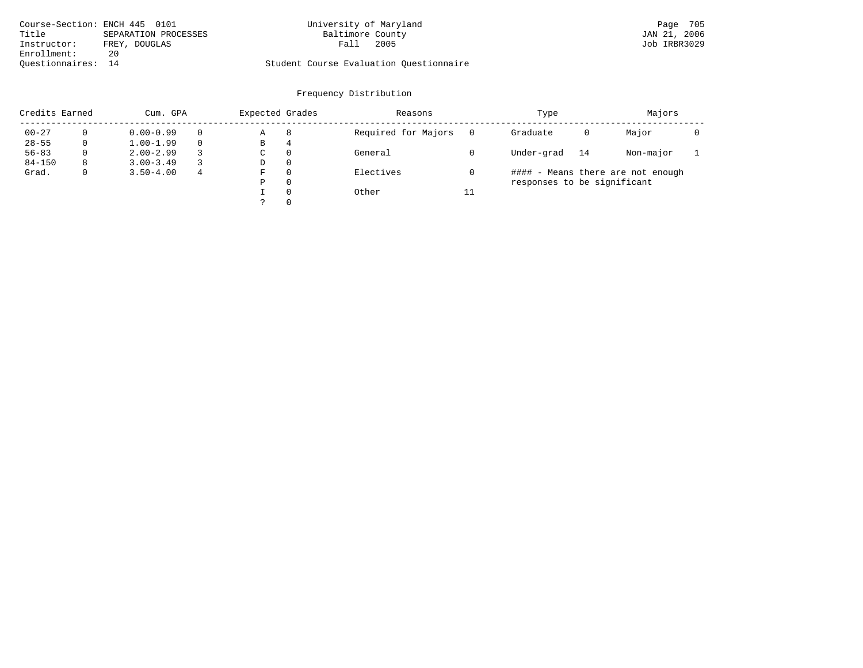| Course-Section: ENCH 445 0101 | University of Maryland                  | Page 705     |
|-------------------------------|-----------------------------------------|--------------|
| Title<br>SEPARATION PROCESSES | Baltimore County                        | JAN 21, 2006 |
| Instructor:<br>FREY, DOUGLAS  | 2005<br>Fall                            | Job IRBR3029 |
| Enrollment:<br>20             |                                         |              |
| Ouestionnaires: 14            | Student Course Evaluation Questionnaire |              |

# niversity of Maryland and December 2015 12:30 page 705 page 705 page 705 page 705 page 705 page 705 page 705 page 705 page 705 page 705 page 705 page 705 page 705 page 705 page 705 page 705 page 705 page 705 page 705 page

| Credits Earned |          | Cum. GPA      |   | Expected Grades |          | Reasons             |    | Type                        |    | Majors                            |  |
|----------------|----------|---------------|---|-----------------|----------|---------------------|----|-----------------------------|----|-----------------------------------|--|
| $00 - 27$      |          | $0.00 - 0.99$ |   | Α               | 8        | Required for Majors |    | Graduate                    | 0  | Major                             |  |
| $28 - 55$      | 0        | $1.00 - 1.99$ |   | В               | 4        |                     |    |                             |    |                                   |  |
| $56 - 83$      | $\Omega$ | $2.00 - 2.99$ |   | C               | 0        | General             |    | Under-grad                  | 14 | Non-major                         |  |
| $84 - 150$     | 8        | $3.00 - 3.49$ |   | D               | $\Omega$ |                     |    |                             |    |                                   |  |
| Grad.          | 0        | $3.50 - 4.00$ | 4 | F               | $\Omega$ | Electives           |    |                             |    | #### - Means there are not enough |  |
|                |          |               |   | Ρ               | $\Omega$ |                     |    | responses to be significant |    |                                   |  |
|                |          |               |   |                 | $\Omega$ | Other               | 11 |                             |    |                                   |  |
|                |          |               |   |                 | $\Omega$ |                     |    |                             |    |                                   |  |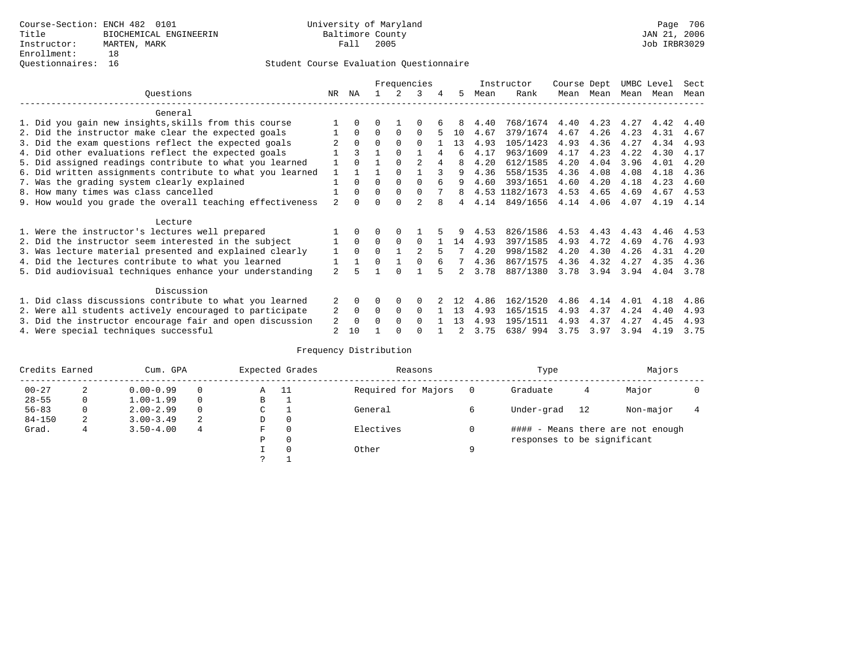# Questionnaires: 16 Student Course Evaluation Questionnaire

|                                                           |                |              |          |          | Frequencies    |   |    |      | Instructor     | Course Dept |           | UMBC Level |      | Sect |
|-----------------------------------------------------------|----------------|--------------|----------|----------|----------------|---|----|------|----------------|-------------|-----------|------------|------|------|
| Ouestions                                                 | NR.            | ΝA           |          |          | 3              | 4 | 5. | Mean | Rank           |             | Mean Mean | Mean       | Mean | Mean |
| General                                                   |                |              |          |          |                |   |    |      |                |             |           |            |      |      |
| 1. Did you gain new insights, skills from this course     |                | $\Omega$     | 0        |          | $\Omega$       |   | 8  | 4.40 | 768/1674       | 4.40        | 4.23      | 4.27       | 4.42 | 4.40 |
| 2. Did the instructor make clear the expected goals       |                | $\Omega$     | $\Omega$ | $\Omega$ | $\Omega$       |   | 10 | 4.67 | 379/1674       | 4.67        | 4.26      | 4.23       | 4.31 | 4.67 |
| 3. Did the exam questions reflect the expected goals      |                | $\Omega$     | $\Omega$ | $\Omega$ | $\Omega$       |   | 13 | 4.93 | 105/1423       | 4.93        | 4.36      | 4.27       | 4.34 | 4.93 |
| 4. Did other evaluations reflect the expected goals       |                |              |          | $\Omega$ |                | 4 | 6  | 4.17 | 963/1609       | 4.17        | 4.23      | 4.22       | 4.30 | 4.17 |
| 5. Did assigned readings contribute to what you learned   |                | $\Omega$     |          | $\Omega$ | $\mathfrak{D}$ | 4 | 8  | 4.20 | 612/1585       | 4.20        | 4.04      | 3.96       | 4.01 | 4.20 |
| 6. Did written assignments contribute to what you learned |                |              |          | $\Omega$ |                |   |    | 4.36 | 558/1535       | 4.36        | 4.08      | 4.08       | 4.18 | 4.36 |
| 7. Was the grading system clearly explained               |                | $\Omega$     | $\Omega$ | $\Omega$ | $\Omega$       |   |    | 4.60 | 393/1651       | 4.60        | 4.20      | 4.18       | 4.23 | 4.60 |
| 8. How many times was class cancelled                     |                | $\Omega$     | $\Omega$ | $\Omega$ | $\Omega$       |   | 8  |      | 4.53 1182/1673 | 4.53        | 4.65      | 4.69       | 4.67 | 4.53 |
| 9. How would you grade the overall teaching effectiveness | $\mathfrak{D}$ | <sup>n</sup> | ∩        | ∩        | $\mathfrak{D}$ |   |    | 4.14 | 849/1656       | 4.14        | 4.06      | 4.07       | 4.19 | 4.14 |
| Lecture                                                   |                |              |          |          |                |   |    |      |                |             |           |            |      |      |
| 1. Were the instructor's lectures well prepared           |                |              |          | $\Omega$ |                |   |    | 4.53 | 826/1586       | 4.53        | 4.43      | 4.43       | 4.46 | 4.53 |
| 2. Did the instructor seem interested in the subject      |                | $\Omega$     | $\Omega$ | $\Omega$ | $\Omega$       |   | 14 | 4.93 | 397/1585       | 4.93        | 4.72      | 4.69       | 4.76 | 4.93 |
| 3. Was lecture material presented and explained clearly   | 1              | $\Omega$     | $\Omega$ |          | $\mathfrak{D}$ |   |    | 4.20 | 998/1582       | 4.20        | 4.30      | 4.26       | 4.31 | 4.20 |
| 4. Did the lectures contribute to what you learned        |                |              | $\Omega$ |          |                |   |    | 4.36 | 867/1575       | 4.36        | 4.32      | 4.27       | 4.35 | 4.36 |
| 5. Did audiovisual techniques enhance your understanding  | $\overline{a}$ |              |          | $\cap$   |                |   |    | 3.78 | 887/1380       | 3.78        | 3.94      | 3.94       | 4.04 | 3.78 |
| Discussion                                                |                |              |          |          |                |   |    |      |                |             |           |            |      |      |
| 1. Did class discussions contribute to what you learned   |                | $\Omega$     | 0        | $\Omega$ | $\Omega$       |   |    | 4.86 | 162/1520       | 4.86        | 4.14      | 4.01       | 4.18 | 4.86 |
| 2. Were all students actively encouraged to participate   | 2              | $\Omega$     | $\Omega$ | $\Omega$ | $\Omega$       |   | 13 | 4.93 | 165/1515       | 4.93        | 4.37      | 4.24       | 4.40 | 4.93 |
| 3. Did the instructor encourage fair and open discussion  |                | $\Omega$     | O        | $\Omega$ | $\Omega$       |   | 13 | 4.93 | 195/1511       | 4.93        | 4.37      | 4.27       | 4.45 | 4.93 |
| 4. Were special techniques successful                     | 2              | 10           |          |          |                |   |    | 3.75 | 638/994        | 3.75        | 3.97      | 3.94       | 4.19 | 3.75 |

| Credits Earned |   | Cum. GPA      |   |             | Expected Grades | Reasons             |   | Type                        |    | Majors                            |  |
|----------------|---|---------------|---|-------------|-----------------|---------------------|---|-----------------------------|----|-----------------------------------|--|
| $00 - 27$      | 2 | $0.00 - 0.99$ |   | Α           | - 11            | Required for Majors | 0 | Graduate                    | 4  | Major                             |  |
| $28 - 55$      | 0 | $1.00 - 1.99$ |   | В           | ÷               |                     |   |                             |    |                                   |  |
| $56 - 83$      | 0 | $2.00 - 2.99$ |   | $\sim$<br>◡ |                 | General             |   | Under-grad                  | 12 | Non-major                         |  |
| $84 - 150$     | 2 | $3.00 - 3.49$ | 2 | D           | 0               |                     |   |                             |    |                                   |  |
| Grad.          |   | $3.50 - 4.00$ | 4 | F           | 0               | Electives           | 0 |                             |    | #### - Means there are not enough |  |
|                |   |               |   | Ρ           | 0               |                     |   | responses to be significant |    |                                   |  |
|                |   |               |   |             | $\Omega$        | Other               | Q |                             |    |                                   |  |
|                |   |               |   | C           |                 |                     |   |                             |    |                                   |  |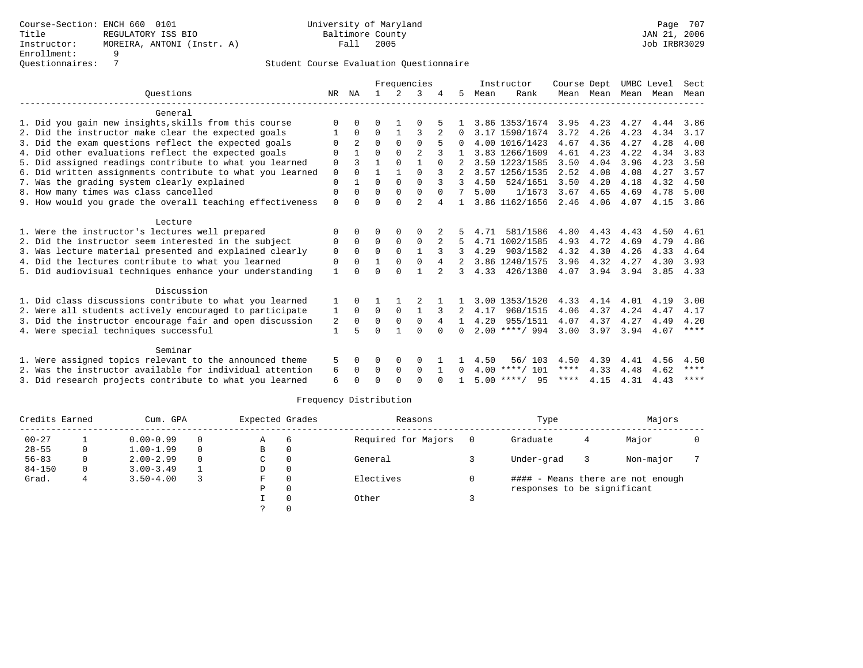|                                                           |              |              |          |             | Frequencies    |          |          |      | Instructor       | Course Dept |           | UMBC Level |      | Sect |
|-----------------------------------------------------------|--------------|--------------|----------|-------------|----------------|----------|----------|------|------------------|-------------|-----------|------------|------|------|
| Ouestions                                                 | NR           | ΝA           |          | 2           |                |          | 5.       | Mean | Rank             |             | Mean Mean | Mean Mean  |      | Mean |
| General                                                   |              |              |          |             |                |          |          |      |                  |             |           |            |      |      |
| 1. Did you gain new insights, skills from this course     | U            |              | U        |             |                |          |          |      | 3.86 1353/1674   | 3.95        | 4.23      | 4.27       | 4.44 | 3.86 |
| 2. Did the instructor make clear the expected goals       |              | $\Omega$     | $\Omega$ |             | ς              |          | $\Omega$ |      | 3.17 1590/1674   | 3.72        | 4.26      | 4.23       | 4.34 | 3.17 |
| 3. Did the exam questions reflect the expected goals      | O            | 2            | $\Omega$ | $\Omega$    | $\Omega$       |          |          |      | 4.00 1016/1423   | 4.67        | 4.36      | 4.27       | 4.28 | 4.00 |
| 4. Did other evaluations reflect the expected goals       | $\Omega$     | $\mathbf{1}$ | $\Omega$ | $\Omega$    | $\overline{c}$ |          |          |      | 3.83 1266/1609   | 4.61        | 4.23      | 4.22       | 4.34 | 3.83 |
| 5. Did assigned readings contribute to what you learned   | $\mathbf 0$  | ς            | 1        | $\Omega$    | $\mathbf{1}$   | $\Omega$ |          |      | 3.50 1223/1585   | 3.50        | 4.04      | 3.96       | 4.23 | 3.50 |
| 6. Did written assignments contribute to what you learned | 0            | $\Omega$     | 1        |             | $\Omega$       |          |          |      | 3.57 1256/1535   | 2.52        | 4.08      | 4.08       | 4.27 | 3.57 |
| 7. Was the grading system clearly explained               | $\Omega$     |              | $\Omega$ | $\Omega$    | $\Omega$       |          | ર        | 4.50 | 524/1651         | 3.50        | 4.20      | 4.18       | 4.32 | 4.50 |
| 8. How many times was class cancelled                     | $\mathbf 0$  | $\Omega$     | $\Omega$ | $\Omega$    | $\Omega$       | $\Omega$ |          | 5.00 | 1/1673           | 3.67        | 4.65      | 4.69       | 4.78 | 5.00 |
| 9. How would you grade the overall teaching effectiveness | $\Omega$     | $\cap$       | U        | $\cap$      | $\mathfrak{D}$ | 4        |          |      | 3.86 1162/1656   | 2.46        | 4.06      | 4.07       | 4.15 | 3.86 |
| Lecture                                                   |              |              |          |             |                |          |          |      |                  |             |           |            |      |      |
| 1. Were the instructor's lectures well prepared           | O            | 0            | 0        | O           | 0              |          |          | 4.71 | 581/1586         | 4.80        | 4.43      | 4.43       | 4.50 | 4.61 |
| 2. Did the instructor seem interested in the subject      | 0            | $\Omega$     | $\Omega$ | $\mathbf 0$ | 0              |          | 5        |      | 4.71 1002/1585   | 4.93        | 4.72      | 4.69       | 4.79 | 4.86 |
| 3. Was lecture material presented and explained clearly   | $\mathbf 0$  | $\mathbf 0$  | 0        | $\Omega$    | $\mathbf{1}$   |          |          | 4.29 | 903/1582         | 4.32        | 4.30      | 4.26       | 4.33 | 4.64 |
| 4. Did the lectures contribute to what you learned        | 0            | $\Omega$     |          | $\Omega$    | $\Omega$       | 4        |          |      | 3.86 1240/1575   | 3.96        | 4.32      | 4.27       | 4.30 | 3.93 |
| 5. Did audiovisual techniques enhance your understanding  | $\mathbf{1}$ | ∩            | ∩        | ∩           |                |          |          | 4.33 | 426/1380         | 4.07        | 3.94      | 3.94       | 3.85 | 4.33 |
| Discussion                                                |              |              |          |             |                |          |          |      |                  |             |           |            |      |      |
| 1. Did class discussions contribute to what you learned   | 1            | $\Omega$     |          |             |                |          |          |      | 3.00 1353/1520   | 4.33        | 4.14      | 4.01       | 4.19 | 3.00 |
| 2. Were all students actively encouraged to participate   | 1            | $\Omega$     | $\Omega$ | $\mathbf 0$ | 1              | 3        | 2        | 4.17 | 960/1515         | 4.06        | 4.37      | 4.24       | 4.47 | 4.17 |
| 3. Did the instructor encourage fair and open discussion  | 2            | $\Omega$     | $\Omega$ | $\Omega$    | $\Omega$       | 4        |          | 4.20 | 955/1511         | 4.07        | 4.37      | 4.27       | 4.49 | 4.20 |
| 4. Were special techniques successful                     | $\mathbf{1}$ |              | $\Omega$ |             | $\Omega$       | $\Omega$ | $\Omega$ |      | $2.00$ ****/ 994 | 3.00        | 3.97      | 3.94       | 4.07 | **** |
| Seminar                                                   |              |              |          |             |                |          |          |      |                  |             |           |            |      |      |
| 1. Were assigned topics relevant to the announced theme   | 5            | 0            | 0        | 0           | 0              |          |          | 4.50 | 56/103           | 4.50        | 4.39      | 4.41       | 4.56 | 4.50 |
| 2. Was the instructor available for individual attention  | 6            | 0            | $\Omega$ | $\mathbf 0$ | $\Omega$       |          | $\Omega$ |      | $4.00$ ****/ 101 | ****        | 4.33      | 4.48       | 4.62 | **** |
| 3. Did research projects contribute to what you learned   | 6            |              | $\cap$   | $\cap$      | $\Omega$       | $\cap$   |          |      | $5.00$ ****/ 95  | ****        | 4.15      | 4.31       | 4.43 | **** |

| Credits Earned |   | Cum. GPA      |          | Expected Grades | Reasons             |  | Type                        |   | Majors                            |  |
|----------------|---|---------------|----------|-----------------|---------------------|--|-----------------------------|---|-----------------------------------|--|
| $00 - 27$      |   | $0.00 - 0.99$ |          | A               | Required for Majors |  | Graduate                    | 4 | Major                             |  |
| $28 - 55$      |   | $1.00 - 1.99$ | $\Omega$ | в               |                     |  |                             |   |                                   |  |
| $56 - 83$      |   | $2.00 - 2.99$ | $\Omega$ | C               | General             |  | Under-grad                  |   | Non-major                         |  |
| $84 - 150$     | 0 | $3.00 - 3.49$ |          | D               |                     |  |                             |   |                                   |  |
| Grad.          |   | $3.50 - 4.00$ |          | F               | Electives           |  |                             |   | #### - Means there are not enough |  |
|                |   |               |          | Ρ               |                     |  | responses to be significant |   |                                   |  |
|                |   |               |          |                 | Other               |  |                             |   |                                   |  |
|                |   |               |          |                 |                     |  |                             |   |                                   |  |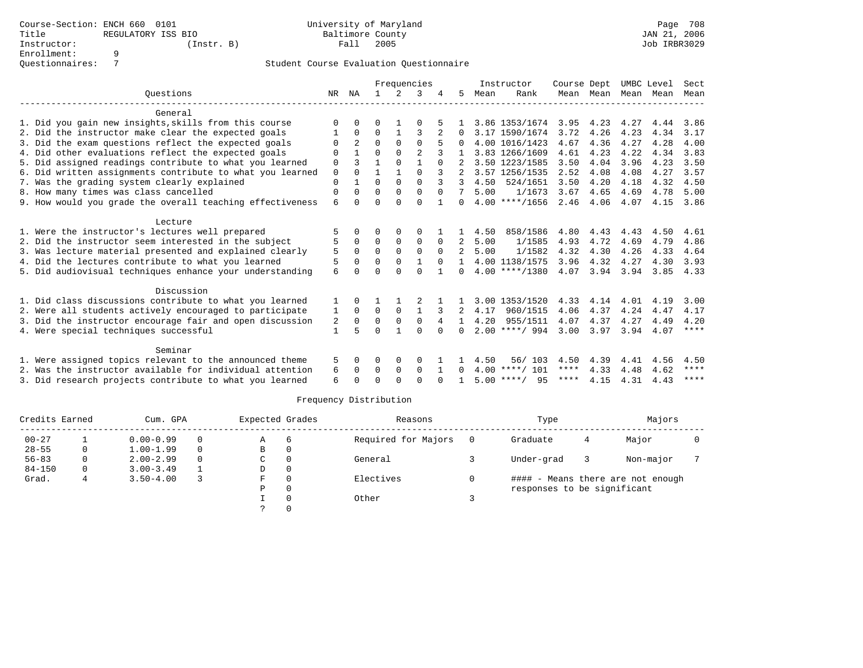|                                                           |             |                |          |             | Frequencies    |              |                |      | Instructor       | Course Dept |      | UMBC Level |      | Sect        |
|-----------------------------------------------------------|-------------|----------------|----------|-------------|----------------|--------------|----------------|------|------------------|-------------|------|------------|------|-------------|
| Ouestions                                                 | NR          | NA             |          |             | κ              |              | 5.             | Mean | Rank             | Mean Mean   |      | Mean       | Mean | Mean        |
| General                                                   |             |                |          |             |                |              |                |      |                  |             |      |            |      |             |
| 1. Did you gain new insights, skills from this course     | $\Omega$    | $\cap$         | U        |             | O              |              |                |      | 3.86 1353/1674   | 3.95        | 4.23 | 4.27       | 4.44 | 3.86        |
| 2. Did the instructor make clear the expected goals       |             | $\Omega$       | $\Omega$ |             | 3              |              | $\Omega$       |      | 3.17 1590/1674   | 3.72        | 4.26 | 4.23       | 4.34 | 3.17        |
| 3. Did the exam questions reflect the expected goals      | $\Omega$    | $\overline{a}$ | $\Omega$ | $\Omega$    | $\Omega$       |              |                |      | 4.00 1016/1423   | 4.67        | 4.36 | 4.27       | 4.28 | 4.00        |
| 4. Did other evaluations reflect the expected goals       | $\Omega$    |                | 0        | $\Omega$    | $\mathfrak{D}$ |              |                |      | 3.83 1266/1609   | 4.61        | 4.23 | 4.22       | 4.34 | 3.83        |
| 5. Did assigned readings contribute to what you learned   | $\Omega$    | ζ              | 1        | $\Omega$    | $\mathbf{1}$   | $\Omega$     |                |      | 3.50 1223/1585   | 3.50        | 4.04 | 3.96       | 4.23 | 3.50        |
| 6. Did written assignments contribute to what you learned | $\mathbf 0$ | $\Omega$       | 1        |             | $\Omega$       |              |                |      | 3.57 1256/1535   | 2.52        | 4.08 | 4.08       | 4.27 | 3.57        |
| 7. Was the grading system clearly explained               | $\mathbf 0$ |                | $\Omega$ | $\Omega$    | $\Omega$       |              | 3              | 4.50 | 524/1651         | 3.50        | 4.20 | 4.18       | 4.32 | 4.50        |
| 8. How many times was class cancelled                     | $\mathbf 0$ | $\Omega$       | $\Omega$ | $\Omega$    | $\Omega$       | $\Omega$     | 7              | 5.00 | 1/1673           | 3.67        | 4.65 | 4.69       | 4.78 | 5.00        |
| 9. How would you grade the overall teaching effectiveness | 6           | $\cap$         | $\Omega$ | $\cap$      | $\Omega$       | $\mathbf{1}$ | 0              |      | $4.00$ ****/1656 | 2.46        | 4.06 | 4.07       | 4.15 | 3.86        |
| Lecture                                                   |             |                |          |             |                |              |                |      |                  |             |      |            |      |             |
| 1. Were the instructor's lectures well prepared           |             |                | 0        | 0           | $\Omega$       |              |                | 4.50 | 858/1586         | 4.80        | 4.43 | 4.43       | 4.50 | 4.61        |
| 2. Did the instructor seem interested in the subject      |             | $\Omega$       | $\Omega$ | $\Omega$    | $\Omega$       | $\Omega$     | $\overline{2}$ | 5.00 | 1/1585           | 4.93        | 4.72 | 4.69       | 4.79 | 4.86        |
| 3. Was lecture material presented and explained clearly   | 5           | $\Omega$       | $\Omega$ | $\Omega$    | $\Omega$       | $\Omega$     |                | 5.00 | 1/1582           | 4.32        | 4.30 | 4.26       | 4.33 | 4.64        |
| 4. Did the lectures contribute to what you learned        | 5           | $\Omega$       | $\Omega$ | $\Omega$    |                | $\Omega$     |                |      | 4.00 1138/1575   | 3.96        | 4.32 | 4.27       | 4.30 | 3.93        |
| 5. Did audiovisual techniques enhance your understanding  | 6           |                | $\Omega$ |             | $\cap$         |              | $\Omega$       |      | $4.00$ ****/1380 | 4.07        | 3.94 | 3.94       | 3.85 | 4.33        |
| Discussion                                                |             |                |          |             |                |              |                |      |                  |             |      |            |      |             |
| 1. Did class discussions contribute to what you learned   | 1           | $\Omega$       |          |             |                |              |                |      | 3.00 1353/1520   | 4.33        | 4.14 | 4.01       | 4.19 | 3.00        |
| 2. Were all students actively encouraged to participate   | 1           | $\Omega$       | 0        | $\mathbf 0$ | 1              | 3            | 2              | 4.17 | 960/1515         | 4.06        | 4.37 | 4.24       | 4.47 | 4.17        |
| 3. Did the instructor encourage fair and open discussion  | 2           | $\Omega$       | $\Omega$ | $\Omega$    | $\Omega$       | 4            |                | 4.20 | 955/1511         | 4.07        | 4.37 | 4.27       | 4.49 | 4.20        |
| 4. Were special techniques successful                     | 1           |                | $\Omega$ |             | $\Omega$       | $\Omega$     | $\Omega$       |      | $2.00$ ****/ 994 | 3.00        | 3.97 | 3.94       | 4.07 | $***$ * * * |
| Seminar                                                   |             |                |          |             |                |              |                |      |                  |             |      |            |      |             |
| 1. Were assigned topics relevant to the announced theme   | 5           | 0              | 0        | 0           | 0              |              |                | 4.50 | 56/103           | 4.50        | 4.39 | 4.41       | 4.56 | 4.50        |
| 2. Was the instructor available for individual attention  | 6           | 0              | $\Omega$ | $\mathbf 0$ | $\Omega$       |              | $\Omega$       |      | $4.00$ ****/ 101 | $***$ * * * | 4.33 | 4.48       | 4.62 | ****        |
| 3. Did research projects contribute to what you learned   | 6           |                | $\Omega$ | $\cap$      | $\Omega$       | $\cap$       |                |      | $5.00$ ****/ 95  | ****        | 4.15 | 4.31       | 4.43 | $* * * * *$ |

| Credits Earned |          | Cum. GPA      |          | Expected Grades |          | Reasons             |     | Type                        |   | Majors                            |  |
|----------------|----------|---------------|----------|-----------------|----------|---------------------|-----|-----------------------------|---|-----------------------------------|--|
| $00 - 27$      |          | $0.00 - 0.99$ | $\Omega$ | A               | 6        | Required for Majors | - 0 | Graduate                    | 4 | Major                             |  |
| $28 - 55$      | 0        | $1.00 - 1.99$ | $\Omega$ | в               | 0        |                     |     |                             |   |                                   |  |
| $56 - 83$      | 0        | $2.00 - 2.99$ | $\Omega$ | C               | $\Omega$ | General             |     | Under-grad                  |   | Non-major                         |  |
| $84 - 150$     | $\Omega$ | $3.00 - 3.49$ |          | D               | 0        |                     |     |                             |   |                                   |  |
| Grad.          | 4        | $3.50 - 4.00$ |          | F.              | $\Omega$ | Electives           |     |                             |   | #### - Means there are not enough |  |
|                |          |               |          | Ρ               | $\Omega$ |                     |     | responses to be significant |   |                                   |  |
|                |          |               |          |                 |          | Other               |     |                             |   |                                   |  |
|                |          |               |          |                 |          |                     |     |                             |   |                                   |  |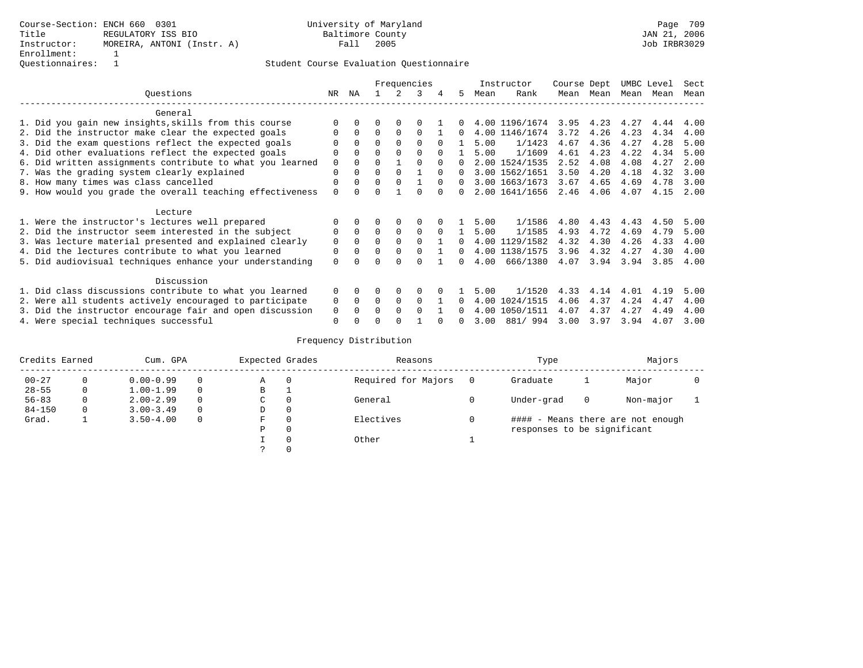|                                                           |          |          |          |          | Frequencies |   |              |      | Instructor     | Course Dept |      | UMBC Level |      | Sect |
|-----------------------------------------------------------|----------|----------|----------|----------|-------------|---|--------------|------|----------------|-------------|------|------------|------|------|
| Ouestions                                                 | NR       | ΝA       |          |          | 3           | 4 | 5.           | Mean | Rank           | Mean        | Mean | Mean       | Mean | Mean |
| General                                                   |          |          |          |          |             |   |              |      |                |             |      |            |      |      |
| 1. Did you gain new insights, skills from this course     |          |          |          |          |             |   |              |      | 4.00 1196/1674 | 3.95        | 4.23 | 4.27       | 4.44 | 4.00 |
| 2. Did the instructor make clear the expected goals       |          |          | O        | 0        | $\Omega$    |   |              |      | 4.00 1146/1674 | 3.72        | 4.26 | 4.23       | 4.34 | 4.00 |
| 3. Did the exam questions reflect the expected goals      |          |          | $\Omega$ |          | $\Omega$    |   |              | 5.00 | 1/1423         | 4.67        | 4.36 | 4.27       | 4.28 | 5.00 |
| 4. Did other evaluations reflect the expected goals       |          |          | $\Omega$ |          | $\Omega$    |   |              | 5.00 | 1/1609         | 4.61        | 4.23 | 4.22       | 4.34 | 5.00 |
| 6. Did written assignments contribute to what you learned | 0        |          | $\Omega$ |          |             |   | n.           |      | 2.00 1524/1535 | 2.52        | 4.08 | 4.08       | 4.27 | 2.00 |
| 7. Was the grading system clearly explained               | $\Omega$ |          | $\Omega$ |          |             |   |              |      | 3.00 1562/1651 | 3.50        | 4.20 | 4.18       | 4.32 | 3.00 |
| 8. How many times was class cancelled                     | $\Omega$ |          | 0        |          |             |   | 0            |      | 3.00 1663/1673 | 3.67        | 4.65 | 4.69       | 4.78 | 3.00 |
| 9. How would you grade the overall teaching effectiveness | $\Omega$ |          |          |          | ∩           |   |              |      | 2.00 1641/1656 | 2.46        | 4.06 | 4.07       | 4.15 | 2.00 |
| Lecture                                                   |          |          |          |          |             |   |              |      |                |             |      |            |      |      |
| 1. Were the instructor's lectures well prepared           |          |          | O        |          |             |   |              | 5.00 | 1/1586         | 4.80        | 4.43 | 4.43       | 4.50 | 5.00 |
| 2. Did the instructor seem interested in the subject      | 0        | $\Omega$ | O        | $\Omega$ | $\Omega$    |   |              | 5.00 | 1/1585         | 4.93        | 4.72 | 4.69       | 4.79 | 5.00 |
| 3. Was lecture material presented and explained clearly   | $\Omega$ |          | $\Omega$ |          | $\Omega$    |   | 0            |      | 4.00 1129/1582 | 4.32        | 4.30 | 4.26       | 4.33 | 4.00 |
| 4. Did the lectures contribute to what you learned        | 0        |          |          |          |             |   | <sup>0</sup> | 4.00 | 1138/1575      | 3.96        | 4.32 | 4.27       | 4.30 | 4.00 |
| 5. Did audiovisual techniques enhance your understanding  | $\Omega$ |          | U        | $\cap$   | $\Omega$    |   | n.           | 4.00 | 666/1380       | 4.07        | 3.94 | 3.94       | 3.85 | 4.00 |
| Discussion                                                |          |          |          |          |             |   |              |      |                |             |      |            |      |      |
| 1. Did class discussions contribute to what you learned   | 0        |          |          |          | $\Omega$    |   |              | 5.00 | 1/1520         | 4.33        | 4.14 | 4.01       | 4.19 | 5.00 |
| 2. Were all students actively encouraged to participate   | 0        | $\Omega$ | $\Omega$ | $\Omega$ | $\Omega$    |   | 0            | 4.00 | 1024/1515      | 4.06        | 4.37 | 4.24       | 4.47 | 4.00 |
| 3. Did the instructor encourage fair and open discussion  | 0        |          | U        |          | $\cap$      |   |              | 4.00 | 1050/1511      | 4.07        | 4.37 | 4.27       | 4.49 | 4.00 |
| 4. Were special techniques successful                     | $\Omega$ |          |          |          |             |   | <sup>n</sup> | 3.00 | 881/994        | 3.00        | 3.97 | 3.94       | 4.07 | 3.00 |

| Credits Earned |   | Cum. GPA      | Expected Grades |          | Reasons             |          | Type                              | Majors |           |  |  |  |
|----------------|---|---------------|-----------------|----------|---------------------|----------|-----------------------------------|--------|-----------|--|--|--|
| $00 - 27$      |   | $0.00 - 0.99$ | Α               | 0        | Required for Majors | $\Omega$ | Graduate                          |        | Major     |  |  |  |
| $28 - 55$      | 0 | $1.00 - 1.99$ | В               |          |                     |          |                                   |        |           |  |  |  |
| $56 - 83$      | 0 | $2.00 - 2.99$ | C               | 0        | General             |          | Under-grad                        | 0      | Non-major |  |  |  |
| $84 - 150$     | 0 | $3.00 - 3.49$ | D               | 0        |                     |          |                                   |        |           |  |  |  |
| Grad.          |   | $3.50 - 4.00$ | F               | $\Omega$ | Electives           |          | #### - Means there are not enough |        |           |  |  |  |
|                |   |               | Ρ               | 0        |                     |          | responses to be significant       |        |           |  |  |  |
|                |   |               |                 | $\Omega$ | Other               |          |                                   |        |           |  |  |  |
|                |   |               |                 |          |                     |          |                                   |        |           |  |  |  |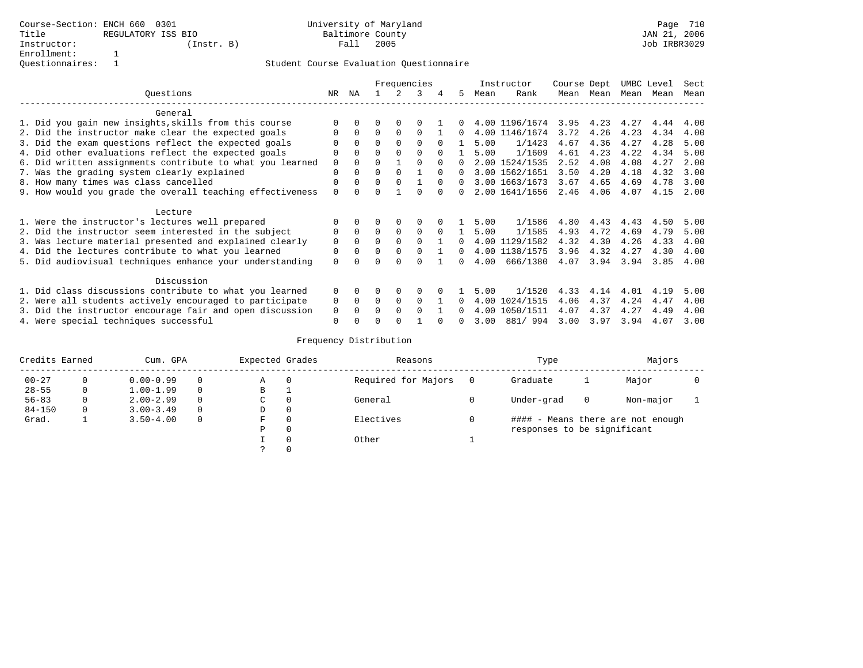|                                                           |             | Frequencies |          |              |          |              |              |      | Instructor     | Course Dept |           | UMBC Level |      | Sect |
|-----------------------------------------------------------|-------------|-------------|----------|--------------|----------|--------------|--------------|------|----------------|-------------|-----------|------------|------|------|
| Ouestions                                                 | NR.         | ΝA          |          |              | 3        |              | 5.           | Mean | Rank           | Mean        | Mean      | Mean       | Mean | Mean |
| General                                                   |             |             |          |              |          |              |              |      |                |             |           |            |      |      |
| 1. Did you gain new insights, skills from this course     |             |             |          |              |          |              |              |      | 4.00 1196/1674 | 3.95        | 4.23 4.27 |            | 4.44 | 4.00 |
| 2. Did the instructor make clear the expected goals       |             |             | O        | $\Omega$     | $\Omega$ |              |              | 4.00 | 1146/1674      | 3.72        | 4.26      | 4.23       | 4.34 | 4.00 |
| 3. Did the exam questions reflect the expected goals      |             |             | $\Omega$ |              | $\Omega$ | $\cap$       |              | 5.00 | 1/1423         | 4.67        | 4.36      | 4.27       | 4.28 | 5.00 |
| 4. Did other evaluations reflect the expected goals       |             |             | U        |              | $\Omega$ |              |              | 5.00 | 1/1609         | 4.61        | 4.23      | 4.22       | 4.34 | 5.00 |
| 6. Did written assignments contribute to what you learned | 0           |             | $\Omega$ |              |          | <sup>n</sup> | 0            |      | 2.00 1524/1535 | 2.52        | 4.08      | 4.08       | 4.27 | 2.00 |
| 7. Was the grading system clearly explained               | $\Omega$    |             | $\Omega$ |              |          | $\cap$       |              |      | 3.00 1562/1651 | 3.50        | 4.20      | 4.18       | 4.32 | 3.00 |
| 8. How many times was class cancelled                     | $\Omega$    |             | $\Omega$ |              |          | $\Omega$     | 0            |      | 3.00 1663/1673 | 3.67        | 4.65      | 4.69       | 4.78 | 3.00 |
| 9. How would you grade the overall teaching effectiveness | $\Omega$    |             | ∩        |              |          |              |              |      | 2.00 1641/1656 | 2.46        | 4.06      | 4.07       | 4.15 | 2.00 |
| Lecture                                                   |             |             |          |              |          |              |              |      |                |             |           |            |      |      |
| 1. Were the instructor's lectures well prepared           |             |             |          |              |          |              |              | 5.00 | 1/1586         | 4.80        | 4.43      | 4.43       | 4.50 | 5.00 |
| 2. Did the instructor seem interested in the subject      |             |             | 0        | $\Omega$     | $\Omega$ | <sup>0</sup> |              | 5.00 | 1/1585         | 4.93        | 4.72      | 4.69       | 4.79 | 5.00 |
| 3. Was lecture material presented and explained clearly   | $\mathbf 0$ |             | $\Omega$ |              |          |              | $\Omega$     |      | 4.00 1129/1582 | 4.32        | 4.30      | 4.26       | 4.33 | 4.00 |
| 4. Did the lectures contribute to what you learned        | $\Omega$    |             |          |              |          |              |              | 4.00 | 1138/1575      | 3.96        | 4.32      | 4.27       | 4.30 | 4.00 |
| 5. Did audiovisual techniques enhance your understanding  | $\Omega$    |             | U        |              |          |              | <sup>n</sup> | 4.00 | 666/1380       | 4.07        | 3.94      | 3.94       | 3.85 | 4.00 |
| Discussion                                                |             |             |          |              |          |              |              |      |                |             |           |            |      |      |
| 1. Did class discussions contribute to what you learned   | 0           |             |          |              |          |              |              | 5.00 | 1/1520         | 4.33        | 4.14      | 4.01       | 4.19 | 5.00 |
| 2. Were all students actively encouraged to participate   | 0           | $\Omega$    | $\Omega$ | $\Omega$     | $\Omega$ |              | 0            | 4.00 | 1024/1515      | 4.06        | 4.37      | 4.24       | 4.47 | 4.00 |
| 3. Did the instructor encourage fair and open discussion  | 0           |             | U        | <sup>n</sup> | $\cap$   |              |              | 4.00 | 1050/1511      | 4.07        | 4.37      | 4.27       | 4.49 | 4.00 |
| 4. Were special techniques successful                     | $\Omega$    |             |          |              |          |              | <sup>n</sup> | 3.00 | 881/994        | 3.00        | 3.97      | 3.94       | 4.07 | 3.00 |

| Credits Earned |   | Cum. GPA      | Expected Grades |          | Reasons             |          | Type                              | Majors |           |  |  |  |
|----------------|---|---------------|-----------------|----------|---------------------|----------|-----------------------------------|--------|-----------|--|--|--|
| $00 - 27$      |   | $0.00 - 0.99$ | Α               | 0        | Required for Majors | $\Omega$ | Graduate                          |        | Major     |  |  |  |
| $28 - 55$      | 0 | $1.00 - 1.99$ | В               |          |                     |          |                                   |        |           |  |  |  |
| $56 - 83$      | 0 | $2.00 - 2.99$ | C               | 0        | General             |          | Under-grad                        | 0      | Non-major |  |  |  |
| $84 - 150$     | 0 | $3.00 - 3.49$ | D               | 0        |                     |          |                                   |        |           |  |  |  |
| Grad.          |   | $3.50 - 4.00$ | F               | $\Omega$ | Electives           |          | #### - Means there are not enough |        |           |  |  |  |
|                |   |               | Ρ               | 0        |                     |          | responses to be significant       |        |           |  |  |  |
|                |   |               |                 | $\Omega$ | Other               |          |                                   |        |           |  |  |  |
|                |   |               |                 |          |                     |          |                                   |        |           |  |  |  |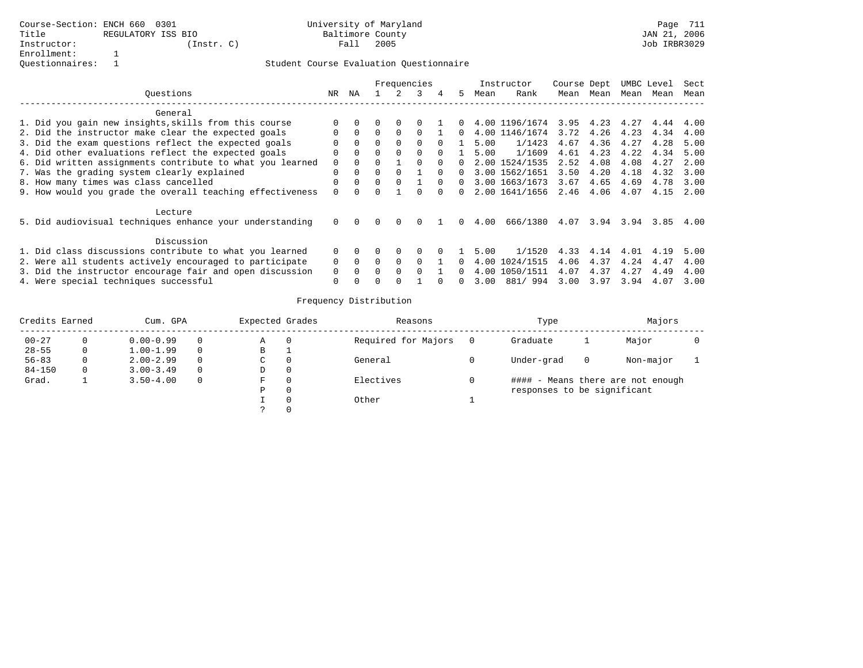|                                                           |                                                           |          |          |              |          |              | Frequencies |          |      | Instructor          | Course Dept |           | UMBC Level |      | Sect |
|-----------------------------------------------------------|-----------------------------------------------------------|----------|----------|--------------|----------|--------------|-------------|----------|------|---------------------|-------------|-----------|------------|------|------|
|                                                           | Ouestions                                                 | NR.      | ΝA       |              |          | 3            |             | 5.       | Mean | Rank                | Mean        | Mean      | Mean       | Mean | Mean |
|                                                           | General                                                   |          |          |              |          |              |             |          |      |                     |             |           |            |      |      |
|                                                           | 1. Did you gain new insights, skills from this course     | $\Omega$ |          |              |          |              |             |          |      | 4.00 1196/1674 3.95 |             | 4.23      | 4.27       | 4.44 | 4.00 |
|                                                           | 2. Did the instructor make clear the expected goals       |          |          |              |          |              |             | 0        |      | 4.00 1146/1674      | 3.72        | 4.26      | 4.23       | 4.34 | 4.00 |
|                                                           | 3. Did the exam questions reflect the expected goals      |          | $\Omega$ | $\Omega$     | $\Omega$ |              |             |          | 5.00 | 1/1423              | 4.67        | 4.36      | 4.27       | 4.28 | 5.00 |
|                                                           | 4. Did other evaluations reflect the expected goals       | U        | $\Omega$ | $\cap$       | $\Omega$ | $\Omega$     |             |          | 5.00 | 1/1609              | 4.61        | 4.23      | 4.22       | 4.34 | 5.00 |
|                                                           | 6. Did written assignments contribute to what you learned | $\Omega$ |          |              |          | $\Omega$     |             |          | 2.00 | 1524/1535           | 2.52        | 4.08      | 4.08       | 4.27 | 2.00 |
|                                                           | 7. Was the grading system clearly explained               | 0        | $\Omega$ | 0            | $\Omega$ |              |             | 0        |      | 3.00 1562/1651      | 3.50        | 4.20      | 4.18       | 4.32 | 3.00 |
|                                                           | 8. How many times was class cancelled                     | 0        | $\Omega$ | 0            |          |              |             | 0        |      | 3.00 1663/1673      | 3.67        | 4.65      | 4.69       | 4.78 | 3.00 |
| 9. How would you grade the overall teaching effectiveness |                                                           |          |          | <sup>n</sup> |          | 0            |             | $\Omega$ |      | 2.00 1641/1656      |             | 2.46 4.06 | 4.07       | 4.15 | 2.00 |
|                                                           | Lecture                                                   |          |          |              |          |              |             |          |      |                     |             |           |            |      |      |
|                                                           | 5. Did audiovisual techniques enhance your understanding  | $\Omega$ | $\Omega$ |              | $\Omega$ | $\Omega$     |             | 0        | 4.00 | 666/1380            | 4.07        |           | 3.94 3.94  | 3.85 | 4.00 |
|                                                           | Discussion                                                |          |          |              |          |              |             |          |      |                     |             |           |            |      |      |
|                                                           | 1. Did class discussions contribute to what you learned   | $\Omega$ | $\Omega$ |              |          | $\Omega$     |             |          | 5.00 | 1/1520              | 4.33        | 4.14      | 4.01       | 4.19 | 5.00 |
|                                                           | 2. Were all students actively encouraged to participate   | $\Omega$ | $\Omega$ | n.           | $\Omega$ | <sup>0</sup> |             |          | 4.00 | 1024/1515           | 4.06        | 4.37      | 4.24       | 4.47 | 4.00 |
|                                                           | 3. Did the instructor encourage fair and open discussion  | $\Omega$ |          |              |          |              |             |          | 4.00 | 1050/1511           | 4.07        | 4.37      | 4.27       | 4.49 | 4.00 |
|                                                           | 4. Were special techniques successful                     | 0        |          |              |          |              |             |          | 3.00 | 881/ 994            | 3.00        | 3.97      | 3.94       | 4.07 | 3.00 |

| Credits Earned |          | Cum. GPA      |          | Expected Grades |              | Reasons             | Type                        | Majors |                                   |  |
|----------------|----------|---------------|----------|-----------------|--------------|---------------------|-----------------------------|--------|-----------------------------------|--|
| $00 - 27$      |          | $0.00 - 0.99$ | $\Omega$ | A               | 0            | Required for Majors | Graduate                    |        | Major                             |  |
| $28 - 55$      | 0        | $1.00 - 1.99$ | 0        | В               | <b>.</b>     |                     |                             |        |                                   |  |
| $56 - 83$      |          | $2.00 - 2.99$ | $\Omega$ | C               | 0            | General             | Under-grad                  | 0      | Non-major                         |  |
| $84 - 150$     | $\Omega$ | $3.00 - 3.49$ | $\Omega$ | D               | $\mathbf{0}$ |                     |                             |        |                                   |  |
| Grad.          |          | $3.50 - 4.00$ | 0        | F               | 0            | Electives           |                             |        | #### - Means there are not enough |  |
|                |          |               |          | Р               | 0            |                     | responses to be significant |        |                                   |  |
|                |          |               |          |                 | $\Omega$     | Other               |                             |        |                                   |  |
|                |          |               |          |                 |              |                     |                             |        |                                   |  |